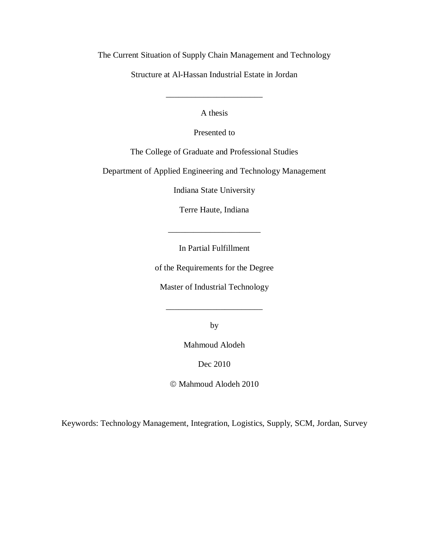The Current Situation of Supply Chain Management and Technology

Structure at Al-Hassan Industrial Estate in Jordan

A thesis

\_\_\_\_\_\_\_\_\_\_\_\_\_\_\_\_\_\_\_\_\_\_\_

Presented to

The College of Graduate and Professional Studies

Department of Applied Engineering and Technology Management

Indiana State University

Terre Haute, Indiana

In Partial Fulfillment

\_\_\_\_\_\_\_\_\_\_\_\_\_\_\_\_\_\_\_\_\_\_

of the Requirements for the Degree

Master of Industrial Technology

by

\_\_\_\_\_\_\_\_\_\_\_\_\_\_\_\_\_\_\_\_\_\_\_

Mahmoud Alodeh

Dec 2010

Mahmoud Alodeh 2010

Keywords: Technology Management, Integration, Logistics, Supply, SCM, Jordan, Survey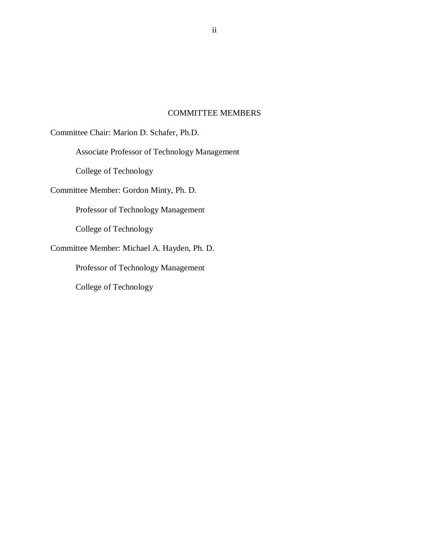## COMMITTEE MEMBERS

<span id="page-1-0"></span>Committee Chair: Marion D. Schafer, Ph.D.

Associate Professor of Technology Management

College of Technology

Committee Member: Gordon Minty, Ph. D.

Professor of Technology Management

College of Technology

Committee Member: Michael A. Hayden, Ph. D.

Professor of Technology Management

College of Technology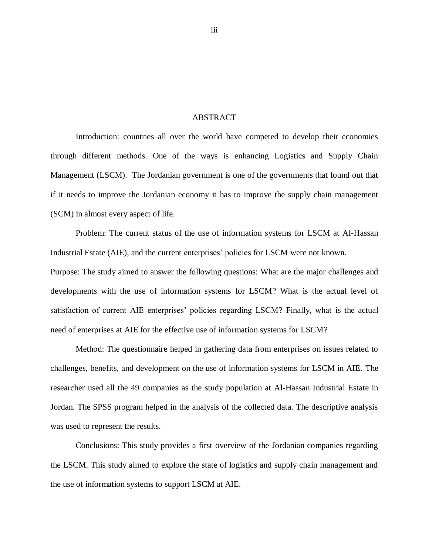## ABSTRACT

<span id="page-2-0"></span>Introduction: countries all over the world have competed to develop their economies through different methods. One of the ways is enhancing Logistics and Supply Chain Management (LSCM). The Jordanian government is one of the governments that found out that if it needs to improve the Jordanian economy it has to improve the supply chain management (SCM) in almost every aspect of life.

Problem: The current status of the use of information systems for LSCM at Al-Hassan Industrial Estate (AIE), and the current enterprises' policies for LSCM were not known. Purpose: The study aimed to answer the following questions: What are the major challenges and developments with the use of information systems for LSCM? What is the actual level of satisfaction of current AIE enterprises' policies regarding LSCM? Finally, what is the actual need of enterprises at AIE for the effective use of information systems for LSCM?

Method: The questionnaire helped in gathering data from enterprises on issues related to challenges, benefits, and development on the use of information systems for LSCM in AIE. The researcher used all the 49 companies as the study population at Al-Hassan Industrial Estate in Jordan. The SPSS program helped in the analysis of the collected data. The descriptive analysis was used to represent the results.

Conclusions: This study provides a first overview of the Jordanian companies regarding the LSCM. This study aimed to explore the state of logistics and supply chain management and the use of information systems to support LSCM at AIE.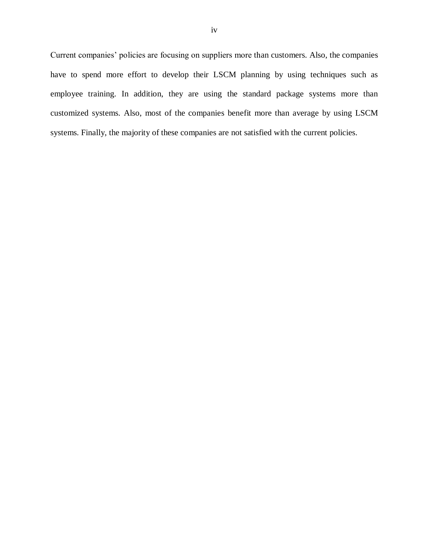Current companies' policies are focusing on suppliers more than customers. Also, the companies have to spend more effort to develop their LSCM planning by using techniques such as employee training. In addition, they are using the standard package systems more than customized systems. Also, most of the companies benefit more than average by using LSCM systems. Finally, the majority of these companies are not satisfied with the current policies.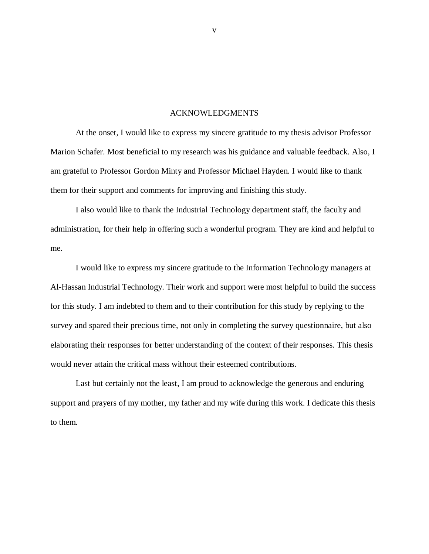#### ACKNOWLEDGMENTS

<span id="page-4-0"></span>At the onset, I would like to express my sincere gratitude to my thesis advisor Professor Marion Schafer. Most beneficial to my research was his guidance and valuable feedback. Also, I am grateful to Professor Gordon Minty and Professor Michael Hayden. I would like to thank them for their support and comments for improving and finishing this study.

I also would like to thank the Industrial Technology department staff, the faculty and administration, for their help in offering such a wonderful program. They are kind and helpful to me.

I would like to express my sincere gratitude to the Information Technology managers at Al-Hassan Industrial Technology. Their work and support were most helpful to build the success for this study. I am indebted to them and to their contribution for this study by replying to the survey and spared their precious time, not only in completing the survey questionnaire, but also elaborating their responses for better understanding of the context of their responses. This thesis would never attain the critical mass without their esteemed contributions.

Last but certainly not the least, I am proud to acknowledge the generous and enduring support and prayers of my mother, my father and my wife during this work. I dedicate this thesis to them.

v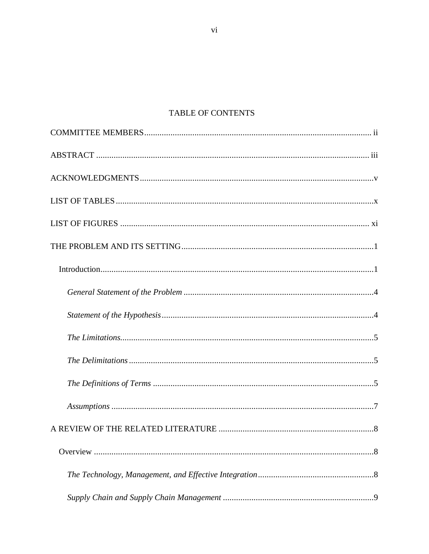# TABLE OF CONTENTS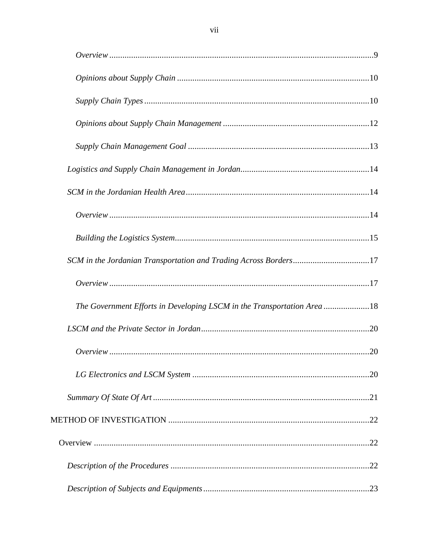| SCM in the Jordanian Transportation and Trading Across Borders17       |  |
|------------------------------------------------------------------------|--|
|                                                                        |  |
| The Government Efforts in Developing LSCM in the Transportation Area18 |  |
|                                                                        |  |
|                                                                        |  |
|                                                                        |  |
|                                                                        |  |
|                                                                        |  |
|                                                                        |  |
|                                                                        |  |
|                                                                        |  |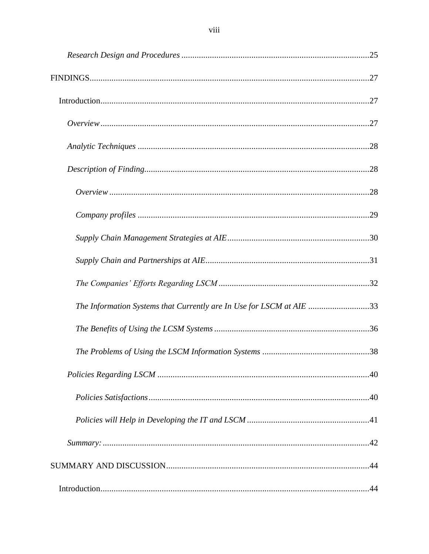| The Information Systems that Currently are In Use for LSCM at AIE 33 |  |
|----------------------------------------------------------------------|--|
|                                                                      |  |
|                                                                      |  |
|                                                                      |  |
|                                                                      |  |
|                                                                      |  |
|                                                                      |  |
|                                                                      |  |
|                                                                      |  |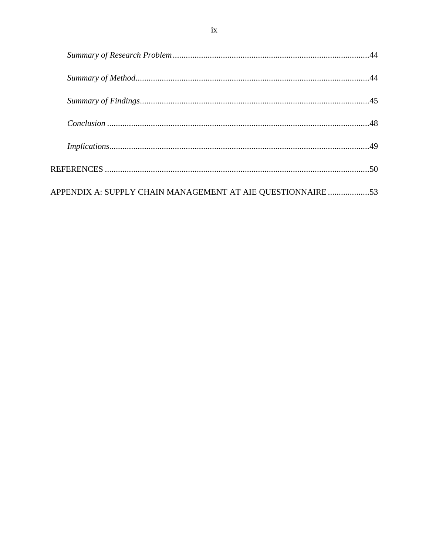| APPENDIX A: SUPPLY CHAIN MANAGEMENT AT AIE QUESTIONNAIRE 53 |  |
|-------------------------------------------------------------|--|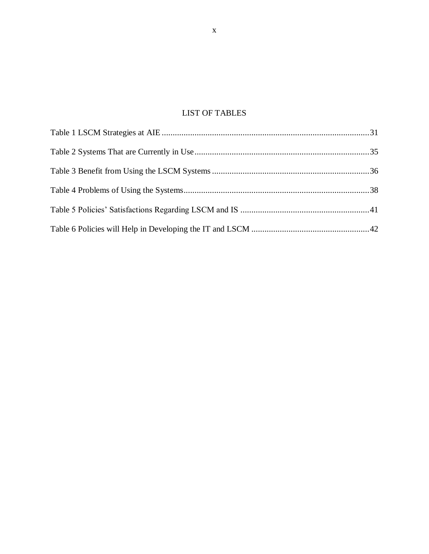# LIST OF TABLES

<span id="page-9-0"></span>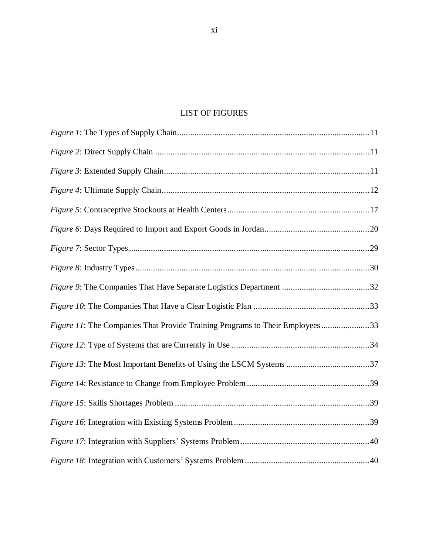# LIST OF FIGURES

<span id="page-10-0"></span>

| Figure 11: The Companies That Provide Training Programs to Their Employees33 |  |
|------------------------------------------------------------------------------|--|
|                                                                              |  |
|                                                                              |  |
|                                                                              |  |
|                                                                              |  |
|                                                                              |  |
|                                                                              |  |
|                                                                              |  |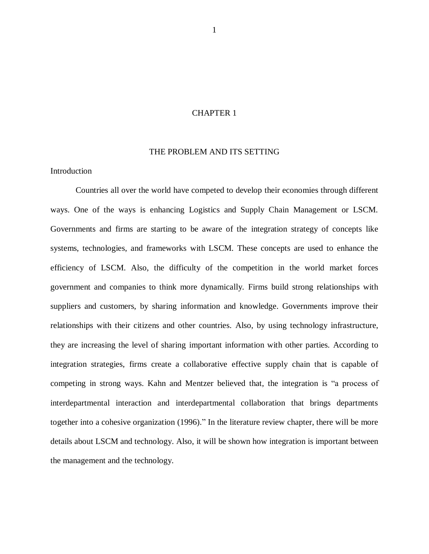## CHAPTER 1

#### THE PROBLEM AND ITS SETTING

## <span id="page-11-1"></span><span id="page-11-0"></span>**Introduction**

Countries all over the world have competed to develop their economies through different ways. One of the ways is enhancing Logistics and Supply Chain Management or LSCM. Governments and firms are starting to be aware of the integration strategy of concepts like systems, technologies, and frameworks with LSCM. These concepts are used to enhance the efficiency of LSCM. Also, the difficulty of the competition in the world market forces government and companies to think more dynamically. Firms build strong relationships with suppliers and customers, by sharing information and knowledge. Governments improve their relationships with their citizens and other countries. Also, by using technology infrastructure, they are increasing the level of sharing important information with other parties. According to integration strategies, firms create a collaborative effective supply chain that is capable of competing in strong ways. Kahn and Mentzer believed that, the integration is "a process of interdepartmental interaction and interdepartmental collaboration that brings departments together into a cohesive organization (1996)." In the literature review chapter, there will be more details about LSCM and technology. Also, it will be shown how integration is important between the management and the technology.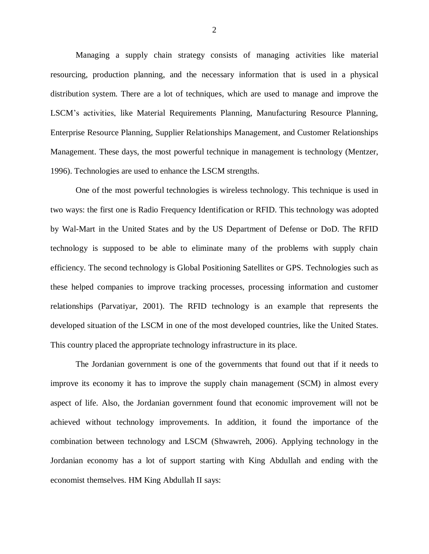Managing a supply chain strategy consists of managing activities like material resourcing, production planning, and the necessary information that is used in a physical distribution system. There are a lot of techniques, which are used to manage and improve the LSCM's activities, like Material Requirements Planning, Manufacturing Resource Planning, Enterprise Resource Planning, Supplier Relationships Management, and Customer Relationships Management. These days, the most powerful technique in management is technology (Mentzer, 1996). Technologies are used to enhance the LSCM strengths.

One of the most powerful technologies is wireless technology. This technique is used in two ways: the first one is Radio Frequency Identification or RFID. This technology was adopted by Wal-Mart in the United States and by the US Department of Defense or DoD. The RFID technology is supposed to be able to eliminate many of the problems with supply chain efficiency. The second technology is Global Positioning Satellites or GPS. Technologies such as these helped companies to improve tracking processes, processing information and customer relationships (Parvatiyar, 2001). The RFID technology is an example that represents the developed situation of the LSCM in one of the most developed countries, like the United States. This country placed the appropriate technology infrastructure in its place.

The Jordanian government is one of the governments that found out that if it needs to improve its economy it has to improve the supply chain management (SCM) in almost every aspect of life. Also, the Jordanian government found that economic improvement will not be achieved without technology improvements. In addition, it found the importance of the combination between technology and LSCM (Shwawreh, 2006). Applying technology in the Jordanian economy has a lot of support starting with King Abdullah and ending with the economist themselves. HM King Abdullah II says: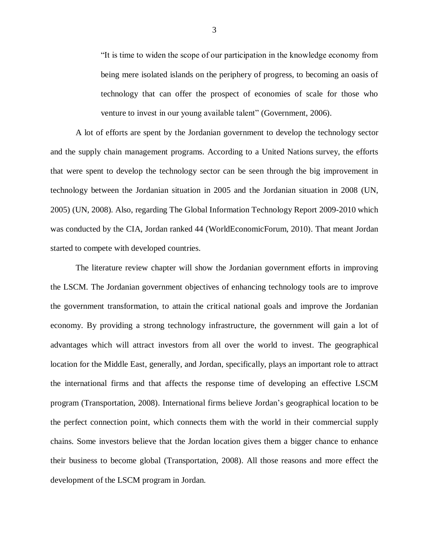"It is time to widen the scope of our participation in the knowledge economy from being mere isolated islands on the periphery of progress, to becoming an oasis of technology that can offer the prospect of economies of scale for those who venture to invest in our young available talent" (Government, 2006).

A lot of efforts are spent by the Jordanian government to develop the technology sector and the supply chain management programs. According to a United Nations survey, the efforts that were spent to develop the technology sector can be seen through the big improvement in technology between the Jordanian situation in 2005 and the Jordanian situation in 2008 (UN, 2005) (UN, 2008). Also, regarding The Global Information Technology Report 2009-2010 which was conducted by the CIA, Jordan ranked 44 (WorldEconomicForum, 2010). That meant Jordan started to compete with developed countries.

The literature review chapter will show the Jordanian government efforts in improving the LSCM. The Jordanian government objectives of enhancing technology tools are to improve the government transformation, to attain the critical national goals and improve the Jordanian economy. By providing a strong technology infrastructure, the government will gain a lot of advantages which will attract investors from all over the world to invest. The geographical location for the Middle East, generally, and Jordan, specifically, plays an important role to attract the international firms and that affects the response time of developing an effective LSCM program (Transportation, 2008). International firms believe Jordan's geographical location to be the perfect connection point, which connects them with the world in their commercial supply chains. Some investors believe that the Jordan location gives them a bigger chance to enhance their business to become global (Transportation, 2008). All those reasons and more effect the development of the LSCM program in Jordan.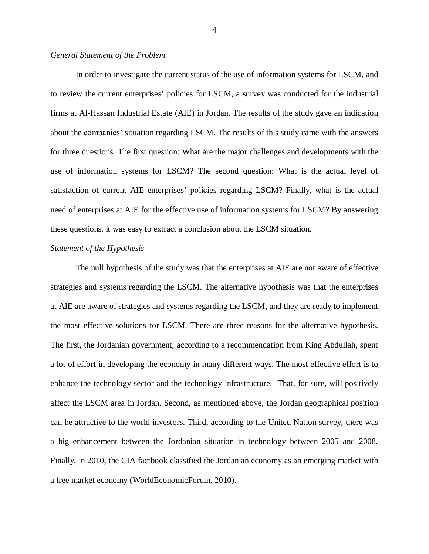#### <span id="page-14-0"></span>*General Statement of the Problem*

In order to investigate the current status of the use of information systems for LSCM, and to review the current enterprises' policies for LSCM, a survey was conducted for the industrial firms at Al-Hassan Industrial Estate (AIE) in Jordan. The results of the study gave an indication about the companies' situation regarding LSCM. The results of this study came with the answers for three questions. The first question: What are the major challenges and developments with the use of information systems for LSCM? The second question: What is the actual level of satisfaction of current AIE enterprises' policies regarding LSCM? Finally, what is the actual need of enterprises at AIE for the effective use of information systems for LSCM? By answering these questions, it was easy to extract a conclusion about the LSCM situation.

#### <span id="page-14-1"></span>*Statement of the Hypothesis*

The null hypothesis of the study was that the enterprises at AIE are not aware of effective strategies and systems regarding the LSCM. The alternative hypothesis was that the enterprises at AIE are aware of strategies and systems regarding the LSCM, and they are ready to implement the most effective solutions for LSCM. There are three reasons for the alternative hypothesis. The first, the Jordanian government, according to a recommendation from King Abdullah, spent a lot of effort in developing the economy in many different ways. The most effective effort is to enhance the technology sector and the technology infrastructure. That, for sure, will positively affect the LSCM area in Jordan. Second, as mentioned above, the Jordan geographical position can be attractive to the world investors. Third, according to the United Nation survey, there was a big enhancement between the Jordanian situation in technology between 2005 and 2008. Finally, in 2010, the CIA factbook classified the Jordanian economy as an emerging market with a free market economy (WorldEconomicForum, 2010).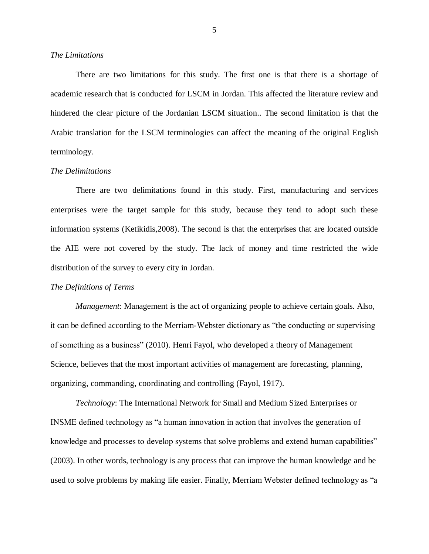#### <span id="page-15-0"></span>*The Limitations*

There are two limitations for this study. The first one is that there is a shortage of academic research that is conducted for LSCM in Jordan. This affected the literature review and hindered the clear picture of the Jordanian LSCM situation.. The second limitation is that the Arabic translation for the LSCM terminologies can affect the meaning of the original English terminology.

#### <span id="page-15-1"></span>*The Delimitations*

There are two delimitations found in this study. First, manufacturing and services enterprises were the target sample for this study, because they tend to adopt such these information systems (Ketikidis,2008). The second is that the enterprises that are located outside the AIE were not covered by the study. The lack of money and time restricted the wide distribution of the survey to every city in Jordan.

#### <span id="page-15-2"></span>*The Definitions of Terms*

*Management*: Management is the act of organizing people to achieve certain goals. Also, it can be defined according to the Merriam-Webster dictionary as "the conducting or supervising of something as a business" (2010). Henri Fayol, who developed a theory of Management Science, believes that the most important activities of management are forecasting, planning, organizing, commanding, coordinating and controlling (Fayol, 1917).

*Technology*: The International Network for Small and Medium Sized Enterprises or INSME defined technology as "a human innovation in action that involves the generation of knowledge and processes to develop systems that solve problems and extend human capabilities" (2003). In other words, technology is any process that can improve the human knowledge and be used to solve problems by making life easier. Finally, Merriam Webster defined technology as "a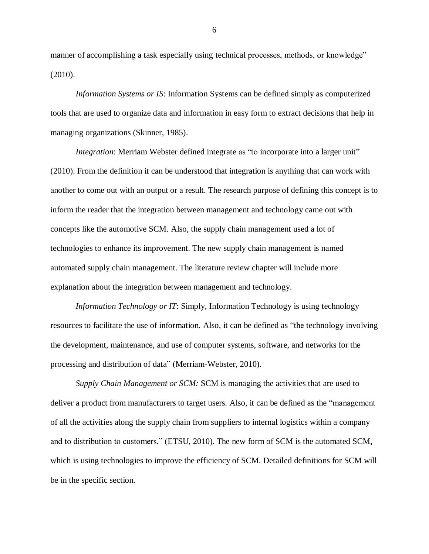manner of accomplishing a task especially using technical processes, methods, or knowledge" (2010).

*Information Systems or IS*: Information Systems can be defined simply as computerized tools that are used to organize data and information in easy form to extract decisions that help in managing organizations (Skinner, 1985).

*Integration*: Merriam Webster defined integrate as "to incorporate into a larger unit" (2010). From the definition it can be understood that integration is anything that can work with another to come out with an output or a result. The research purpose of defining this concept is to inform the reader that the integration between management and technology came out with concepts like the automotive SCM. Also, the supply chain management used a lot of technologies to enhance its improvement. The new supply chain management is named automated supply chain management. The literature review chapter will include more explanation about the integration between management and technology.

*Information Technology or IT*: Simply, Information Technology is using technology resources to facilitate the use of information. Also, it can be defined as "the technology involving the development, maintenance, and use of computer systems, software, and networks for the processing and distribution of data" (Merriam-Webster, 2010).

*Supply Chain Management or SCM:* SCM is managing the activities that are used to deliver a product from manufacturers to target users. Also, it can be defined as the "management of all the activities along the supply chain from suppliers to internal logistics within a company and to distribution to customers." (ETSU, 2010). The new form of SCM is the automated SCM, which is using technologies to improve the efficiency of SCM. Detailed definitions for SCM will be in the specific section.

6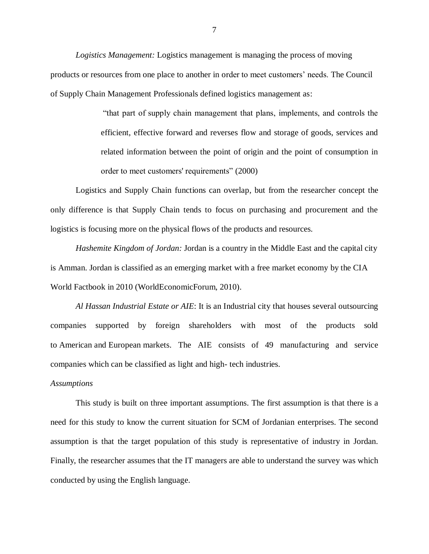*Logistics Management:* Logistics management is managing the process of moving products or resources from one place to another in order to meet customers' needs. The Council of Supply Chain Management Professionals defined logistics management as:

> "that part of supply chain management that plans, implements, and controls the efficient, effective forward and reverses flow and storage of goods, services and related information between the point of origin and the point of consumption in order to meet customers' requirements" (2000)

Logistics and Supply Chain functions can overlap, but from the researcher concept the only difference is that Supply Chain tends to focus on purchasing and procurement and the logistics is focusing more on the physical flows of the products and resources.

*Hashemite Kingdom of Jordan:* Jordan is a country in the Middle East and the capital city is Amman. Jordan is classified as an emerging market with a free market economy by the CIA World Factbook in 2010 (WorldEconomicForum, 2010).

*Al Hassan Industrial Estate or AIE*: It is an Industrial city that houses several outsourcing companies supported by foreign shareholders with most of the products sold to American and European markets. The AIE consists of 49 manufacturing and service companies which can be classified as light and high- tech industries.

#### <span id="page-17-0"></span>*Assumptions*

This study is built on three important assumptions. The first assumption is that there is a need for this study to know the current situation for SCM of Jordanian enterprises. The second assumption is that the target population of this study is representative of industry in Jordan. Finally, the researcher assumes that the IT managers are able to understand the survey was which conducted by using the English language.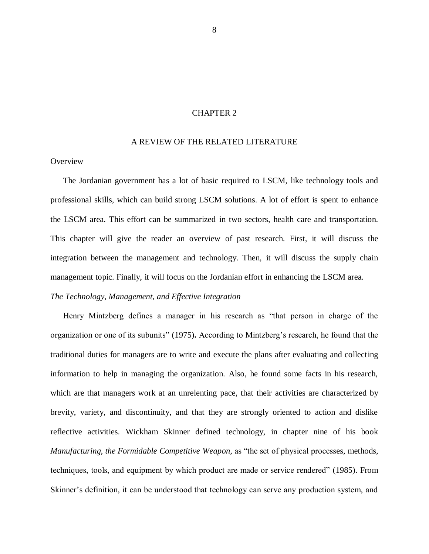## CHAPTER 2

#### A REVIEW OF THE RELATED LITERATURE

## <span id="page-18-1"></span><span id="page-18-0"></span>**Overview**

The Jordanian government has a lot of basic required to LSCM, like technology tools and professional skills, which can build strong LSCM solutions. A lot of effort is spent to enhance the LSCM area. This effort can be summarized in two sectors, health care and transportation. This chapter will give the reader an overview of past research. First, it will discuss the integration between the management and technology. Then, it will discuss the supply chain management topic. Finally, it will focus on the Jordanian effort in enhancing the LSCM area.

## <span id="page-18-2"></span>*The Technology, Management, and Effective Integration*

Henry Mintzberg defines a manager in his research as "that person in charge of the organization or one of its subunits" (1975)**.** According to Mintzberg's research, he found that the traditional duties for managers are to write and execute the plans after evaluating and collecting information to help in managing the organization. Also, he found some facts in his research, which are that managers work at an unrelenting pace, that their activities are characterized by brevity, variety, and discontinuity, and that they are strongly oriented to action and dislike reflective activities. Wickham Skinner defined technology, in chapter nine of his book *Manufacturing, the Formidable Competitive Weapon,* as "the set of physical processes, methods, techniques, tools, and equipment by which product are made or service rendered" (1985). From Skinner's definition, it can be understood that technology can serve any production system, and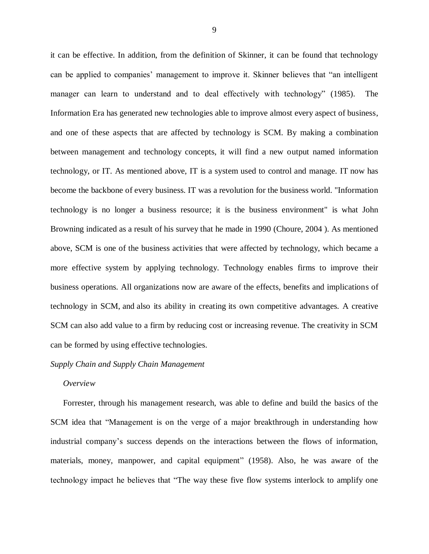it can be effective. In addition, from the definition of Skinner, it can be found that technology can be applied to companies' management to improve it. Skinner believes that "an intelligent manager can learn to understand and to deal effectively with technology" (1985). The Information Era has generated new technologies able to improve almost every aspect of business, and one of these aspects that are affected by technology is SCM. By making a combination between management and technology concepts, it will find a new output named information technology, or IT. As mentioned above, IT is a system used to control and manage. IT now has become the backbone of every business. IT was a revolution for the business world. "Information technology is no longer a business resource; it is the business environment" is what John Browning indicated as a result of his survey that he made in 1990 (Choure, 2004 ). As mentioned above, SCM is one of the business activities that were affected by technology, which became a more effective system by applying technology. Technology enables firms to improve their business operations. All organizations now are aware of the effects, benefits and implications of technology in SCM, and also its ability in creating its own competitive advantages. A creative SCM can also add value to a firm by reducing cost or increasing revenue. The creativity in SCM can be formed by using effective technologies.

#### <span id="page-19-0"></span>*Supply Chain and Supply Chain Management*

#### <span id="page-19-1"></span>*Overview*

Forrester, through his management research, was able to define and build the basics of the SCM idea that "Management is on the verge of a major breakthrough in understanding how industrial company's success depends on the interactions between the flows of information, materials, money, manpower, and capital equipment" (1958). Also, he was aware of the technology impact he believes that "The way these five flow systems interlock to amplify one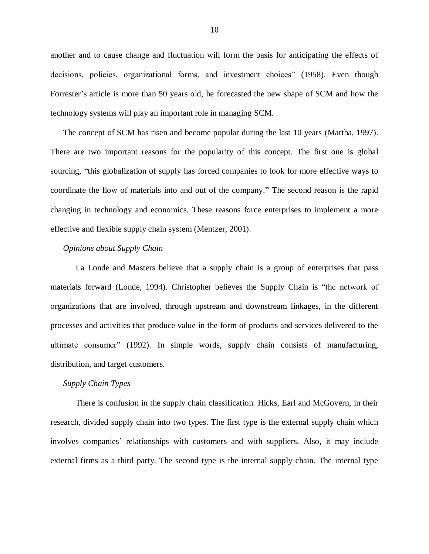another and to cause change and fluctuation will form the basis for anticipating the effects of decisions, policies, organizational forms, and investment choices" (1958). Even though Forrester's article is more than 50 years old, he forecasted the new shape of SCM and how the technology systems will play an important role in managing SCM.

The concept of SCM has risen and become popular during the last 10 years (Martha, 1997). There are two important reasons for the popularity of this concept. The first one is global sourcing, "this globalization of supply has forced companies to look for more effective ways to coordinate the flow of materials into and out of the company." The second reason is the rapid changing in technology and economics. These reasons force enterprises to implement a more effective and flexible supply chain system (Mentzer, 2001).

#### <span id="page-20-0"></span>*Opinions about Supply Chain*

La Londe and Masters believe that a supply chain is a group of enterprises that pass materials forward (Londe, 1994). Christopher believes the Supply Chain is "the network of organizations that are involved, through upstream and downstream linkages, in the different processes and activities that produce value in the form of products and services delivered to the ultimate consumer" (1992). In simple words, supply chain consists of manufacturing, distribution, and target customers.

#### <span id="page-20-1"></span>*Supply Chain Types*

There is confusion in the supply chain classification. Hicks, Earl and McGovern, in their research, divided supply chain into two types. The first type is the external supply chain which involves companies' relationships with customers and with suppliers. Also, it may include external firms as a third party. The second type is the internal supply chain. The internal type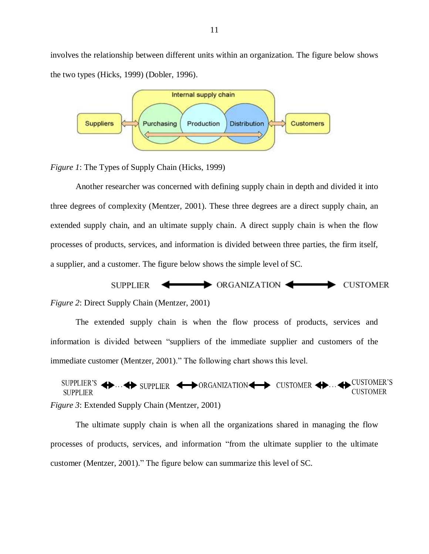involves the relationship between different units within an organization. The figure below shows the two types (Hicks, 1999) (Dobler, 1996).



<span id="page-21-0"></span>*Figure 1*: The Types of Supply Chain (Hicks, 1999)

Another researcher was concerned with defining supply chain in depth and divided it into three degrees of complexity (Mentzer, 2001). These three degrees are a direct supply chain, an extended supply chain, and an ultimate supply chain. A direct supply chain is when the flow processes of products, services, and information is divided between three parties, the firm itself, a supplier, and a customer. The figure below shows the simple level of SC.



<span id="page-21-1"></span>The extended supply chain is when the flow process of products, services and

information is divided between "suppliers of the immediate supplier and customers of the immediate customer (Mentzer, 2001)." The following chart shows this level.

SUPPLIER'S  $\leftrightarrow$  SUPPLIER  $\leftrightarrow$  ORGANIZATION  $\leftrightarrow$  CUSTOMER  $\leftrightarrow$  CUSTOMER'S **CUSTOMER SUPPLIER** *Figure 3*: Extended Supply Chain (Mentzer, 2001)

<span id="page-21-2"></span>The ultimate supply chain is when all the organizations shared in managing the flow processes of products, services, and information "from the ultimate supplier to the ultimate customer (Mentzer, 2001)." The figure below can summarize this level of SC.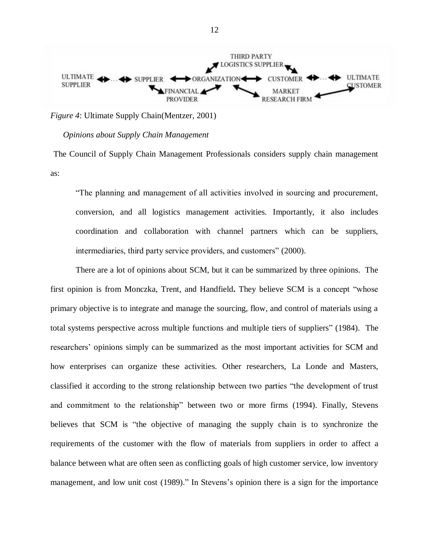

<span id="page-22-1"></span>*Figure 4*: Ultimate Supply Chain(Mentzer, 2001)

#### <span id="page-22-0"></span>*Opinions about Supply Chain Management*

The Council of Supply Chain Management Professionals considers supply chain management as:

"The planning and management of all activities involved in sourcing and procurement, conversion, and all logistics management activities. Importantly, it also includes coordination and collaboration with channel partners which can be suppliers, intermediaries, third party service providers, and customers" (2000).

There are a lot of opinions about SCM, but it can be summarized by three opinions. The first opinion is from Monczka, Trent, and Handfield**.** They believe SCM is a concept "whose primary objective is to integrate and manage the sourcing, flow, and control of materials using a total systems perspective across multiple functions and multiple tiers of suppliers" (1984). The researchers' opinions simply can be summarized as the most important activities for SCM and how enterprises can organize these activities. Other researchers, La Londe and Masters, classified it according to the strong relationship between two parties "the development of trust and commitment to the relationship" between two or more firms (1994). Finally, Stevens believes that SCM is "the objective of managing the supply chain is to synchronize the requirements of the customer with the flow of materials from suppliers in order to affect a balance between what are often seen as conflicting goals of high customer service, low inventory management, and low unit cost (1989)." In Stevens's opinion there is a sign for the importance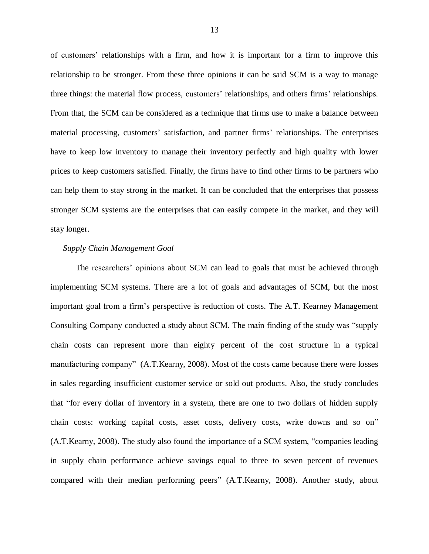of customers' relationships with a firm, and how it is important for a firm to improve this relationship to be stronger. From these three opinions it can be said SCM is a way to manage three things: the material flow process, customers' relationships, and others firms' relationships. From that, the SCM can be considered as a technique that firms use to make a balance between material processing, customers' satisfaction, and partner firms' relationships. The enterprises have to keep low inventory to manage their inventory perfectly and high quality with lower prices to keep customers satisfied. Finally, the firms have to find other firms to be partners who can help them to stay strong in the market. It can be concluded that the enterprises that possess stronger SCM systems are the enterprises that can easily compete in the market, and they will stay longer.

#### <span id="page-23-0"></span>*Supply Chain Management Goal*

The researchers' opinions about SCM can lead to goals that must be achieved through implementing SCM systems. There are a lot of goals and advantages of SCM, but the most important goal from a firm's perspective is reduction of costs. The A.T. Kearney Management Consulting Company conducted a study about SCM. The main finding of the study was "supply chain costs can represent more than eighty percent of the cost structure in a typical manufacturing company" (A.T.Kearny, 2008). Most of the costs came because there were losses in sales regarding insufficient customer service or sold out products. Also, the study concludes that "for every dollar of inventory in a system, there are one to two dollars of hidden supply chain costs: working capital costs, asset costs, delivery costs, write downs and so on" (A.T.Kearny, 2008). The study also found the importance of a SCM system, "companies leading in supply chain performance achieve savings equal to three to seven percent of revenues compared with their median performing peers" (A.T.Kearny, 2008). Another study, about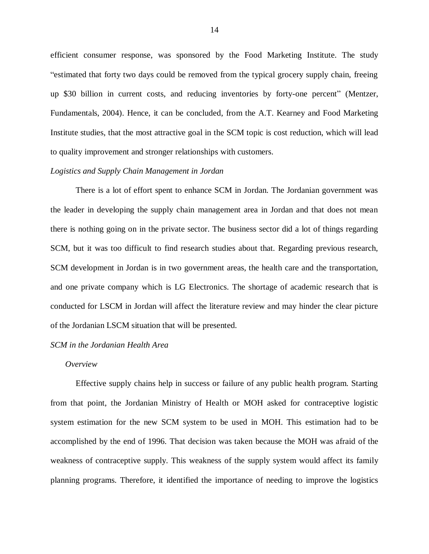efficient consumer response, was sponsored by the Food Marketing Institute. The study "estimated that forty two days could be removed from the typical grocery supply chain, freeing up \$30 billion in current costs, and reducing inventories by forty-one percent" (Mentzer, Fundamentals, 2004). Hence, it can be concluded, from the A.T. Kearney and Food Marketing Institute studies, that the most attractive goal in the SCM topic is cost reduction, which will lead to quality improvement and stronger relationships with customers.

#### <span id="page-24-0"></span>*Logistics and Supply Chain Management in Jordan*

There is a lot of effort spent to enhance SCM in Jordan. The Jordanian government was the leader in developing the supply chain management area in Jordan and that does not mean there is nothing going on in the private sector. The business sector did a lot of things regarding SCM, but it was too difficult to find research studies about that. Regarding previous research, SCM development in Jordan is in two government areas, the health care and the transportation, and one private company which is LG Electronics. The shortage of academic research that is conducted for LSCM in Jordan will affect the literature review and may hinder the clear picture of the Jordanian LSCM situation that will be presented.

#### <span id="page-24-1"></span>*SCM in the Jordanian Health Area*

#### <span id="page-24-2"></span>*Overview*

Effective supply chains help in success or failure of any public health program. Starting from that point, the Jordanian Ministry of Health or MOH asked for contraceptive logistic system estimation for the new SCM system to be used in MOH. This estimation had to be accomplished by the end of 1996. That decision was taken because the MOH was afraid of the weakness of contraceptive supply. This weakness of the supply system would affect its family planning programs. Therefore, it identified the importance of needing to improve the logistics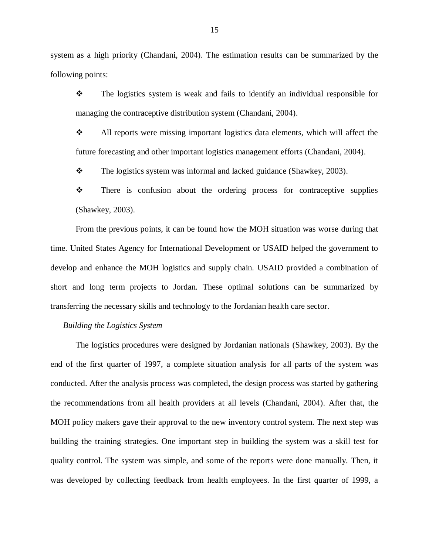system as a high priority (Chandani, 2004). The estimation results can be summarized by the following points:

 The logistics system is weak and fails to identify an individual responsible for managing the contraceptive distribution system (Chandani, 2004).

 All reports were missing important logistics data elements, which will affect the future forecasting and other important logistics management efforts (Chandani, 2004).

 $\div$  The logistics system was informal and lacked guidance (Shawkey, 2003).

 $\mathbf{\hat{P}}$  There is confusion about the ordering process for contraceptive supplies (Shawkey, 2003).

From the previous points, it can be found how the MOH situation was worse during that time. United States Agency for International Development or USAID helped the government to develop and enhance the MOH logistics and supply chain. USAID provided a combination of short and long term projects to Jordan. These optimal solutions can be summarized by transferring the necessary skills and technology to the Jordanian health care sector.

<span id="page-25-0"></span>*Building the Logistics System*

The logistics procedures were designed by Jordanian nationals (Shawkey, 2003). By the end of the first quarter of 1997, a complete situation analysis for all parts of the system was conducted. After the analysis process was completed, the design process was started by gathering the recommendations from all health providers at all levels (Chandani, 2004). After that, the MOH policy makers gave their approval to the new inventory control system. The next step was building the training strategies. One important step in building the system was a skill test for quality control. The system was simple, and some of the reports were done manually. Then, it was developed by collecting feedback from health employees. In the first quarter of 1999, a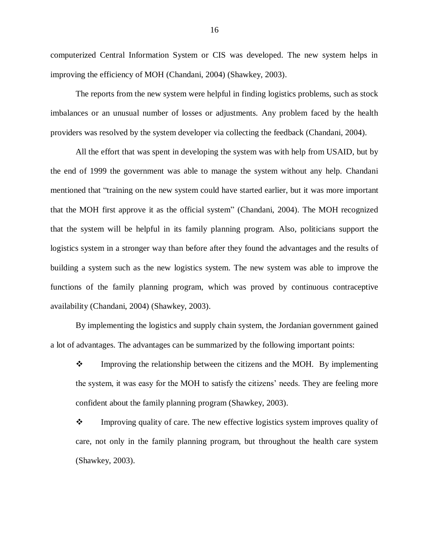computerized Central Information System or CIS was developed. The new system helps in improving the efficiency of MOH (Chandani, 2004) (Shawkey, 2003).

The reports from the new system were helpful in finding logistics problems, such as stock imbalances or an unusual number of losses or adjustments. Any problem faced by the health providers was resolved by the system developer via collecting the feedback (Chandani, 2004).

All the effort that was spent in developing the system was with help from USAID, but by the end of 1999 the government was able to manage the system without any help. Chandani mentioned that "training on the new system could have started earlier, but it was more important that the MOH first approve it as the official system" (Chandani, 2004). The MOH recognized that the system will be helpful in its family planning program. Also, politicians support the logistics system in a stronger way than before after they found the advantages and the results of building a system such as the new logistics system. The new system was able to improve the functions of the family planning program, which was proved by continuous contraceptive availability (Chandani, 2004) (Shawkey, 2003).

By implementing the logistics and supply chain system, the Jordanian government gained a lot of advantages. The advantages can be summarized by the following important points:

 $\mathbf{\hat{P}}$  Improving the relationship between the citizens and the MOH. By implementing the system, it was easy for the MOH to satisfy the citizens' needs. They are feeling more confident about the family planning program (Shawkey, 2003).

• Improving quality of care. The new effective logistics system improves quality of care, not only in the family planning program, but throughout the health care system (Shawkey, 2003).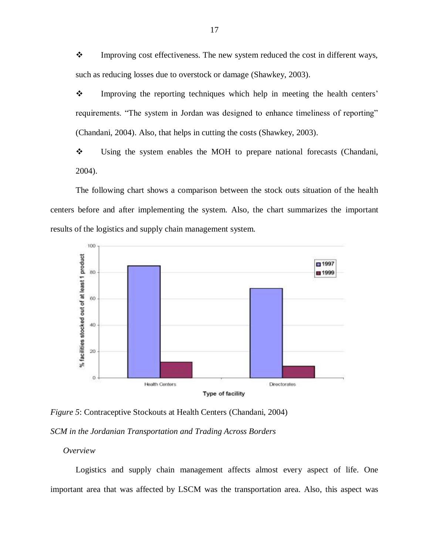$\mathbf{\hat{P}}$  Improving cost effectiveness. The new system reduced the cost in different ways, such as reducing losses due to overstock or damage (Shawkey, 2003).

 Improving the reporting techniques which help in meeting the health centers' requirements. "The system in Jordan was designed to enhance timeliness of reporting" (Chandani, 2004). Also, that helps in cutting the costs (Shawkey, 2003).

• Using the system enables the MOH to prepare national forecasts (Chandani, 2004).

The following chart shows a comparison between the stock outs situation of the health centers before and after implementing the system. Also, the chart summarizes the important results of the logistics and supply chain management system.



<span id="page-27-2"></span>*Figure 5*: Contraceptive Stockouts at Health Centers (Chandani, 2004)

<span id="page-27-0"></span>*SCM in the Jordanian Transportation and Trading Across Borders*

<span id="page-27-1"></span>*Overview*

Logistics and supply chain management affects almost every aspect of life. One important area that was affected by LSCM was the transportation area. Also, this aspect was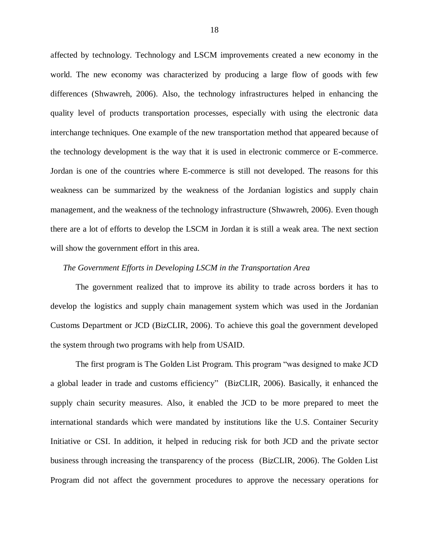affected by technology. Technology and LSCM improvements created a new economy in the world. The new economy was characterized by producing a large flow of goods with few differences (Shwawreh, 2006). Also, the technology infrastructures helped in enhancing the quality level of products transportation processes, especially with using the electronic data interchange techniques. One example of the new transportation method that appeared because of the technology development is the way that it is used in electronic commerce or E-commerce. Jordan is one of the countries where E-commerce is still not developed. The reasons for this weakness can be summarized by the weakness of the Jordanian logistics and supply chain management, and the weakness of the technology infrastructure (Shwawreh, 2006). Even though there are a lot of efforts to develop the LSCM in Jordan it is still a weak area. The next section will show the government effort in this area.

#### <span id="page-28-0"></span>*The Government Efforts in Developing LSCM in the Transportation Area*

The government realized that to improve its ability to trade across borders it has to develop the logistics and supply chain management system which was used in the Jordanian Customs Department or JCD (BizCLIR, 2006). To achieve this goal the government developed the system through two programs with help from USAID.

The first program is The Golden List Program. This program "was designed to make JCD a global leader in trade and customs efficiency" (BizCLIR, 2006). Basically, it enhanced the supply chain security measures. Also, it enabled the JCD to be more prepared to meet the international standards which were mandated by institutions like the U.S. Container Security Initiative or CSI. In addition, it helped in reducing risk for both JCD and the private sector business through increasing the transparency of the process (BizCLIR, 2006). The Golden List Program did not affect the government procedures to approve the necessary operations for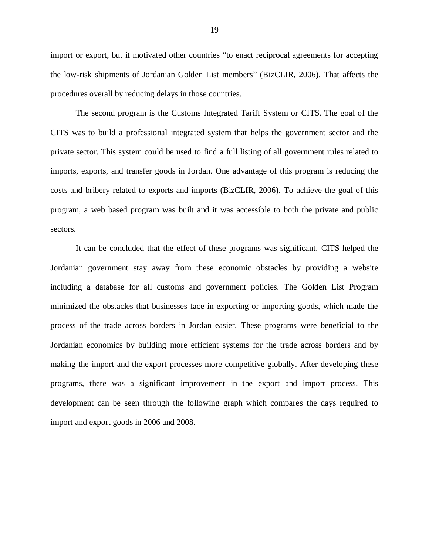import or export, but it motivated other countries "to enact reciprocal agreements for accepting the low-risk shipments of Jordanian Golden List members" (BizCLIR, 2006). That affects the procedures overall by reducing delays in those countries.

The second program is the Customs Integrated Tariff System or CITS. The goal of the CITS was to build a professional integrated system that helps the government sector and the private sector. This system could be used to find a full listing of all government rules related to imports, exports, and transfer goods in Jordan. One advantage of this program is reducing the costs and bribery related to exports and imports (BizCLIR, 2006). To achieve the goal of this program, a web based program was built and it was accessible to both the private and public sectors.

It can be concluded that the effect of these programs was significant. CITS helped the Jordanian government stay away from these economic obstacles by providing a website including a database for all customs and government policies. The Golden List Program minimized the obstacles that businesses face in exporting or importing goods, which made the process of the trade across borders in Jordan easier. These programs were beneficial to the Jordanian economics by building more efficient systems for the trade across borders and by making the import and the export processes more competitive globally. After developing these programs, there was a significant improvement in the export and import process. This development can be seen through the following graph which compares the days required to import and export goods in 2006 and 2008.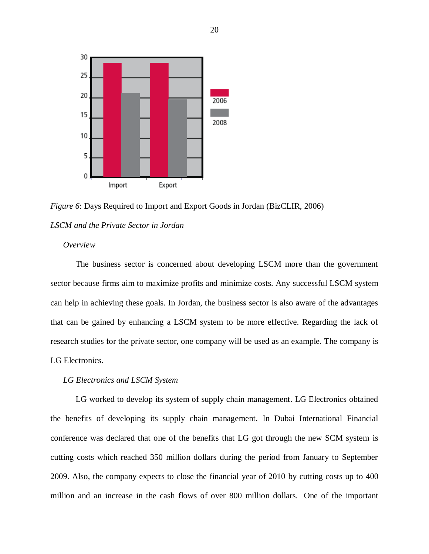

<span id="page-30-3"></span>*Figure 6*: Days Required to Import and Export Goods in Jordan (BizCLIR, 2006)

## <span id="page-30-0"></span>*LSCM and the Private Sector in Jordan*

## <span id="page-30-1"></span>*Overview*

The business sector is concerned about developing LSCM more than the government sector because firms aim to maximize profits and minimize costs. Any successful LSCM system can help in achieving these goals. In Jordan, the business sector is also aware of the advantages that can be gained by enhancing a LSCM system to be more effective. Regarding the lack of research studies for the private sector, one company will be used as an example. The company is LG Electronics.

#### <span id="page-30-2"></span>*LG Electronics and LSCM System*

LG worked to develop its system of supply chain management. LG Electronics obtained the benefits of developing its supply chain management. In Dubai International Financial conference was declared that one of the benefits that LG got through the new SCM system is cutting costs which reached 350 million dollars during the period from January to September 2009. Also, the company expects to close the financial year of 2010 by cutting costs up to 400 million and an increase in the cash flows of over 800 million dollars. One of the important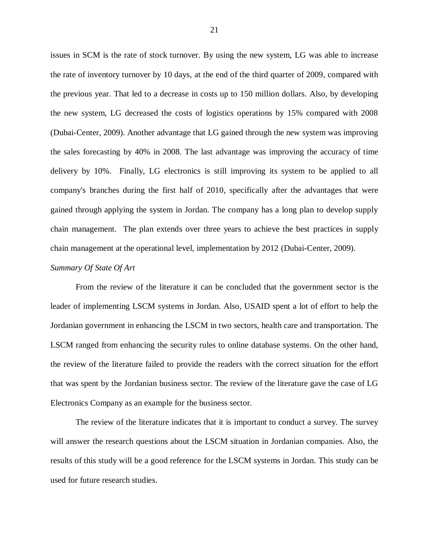issues in SCM is the rate of stock turnover. By using the new system, LG was able to increase the rate of inventory turnover by 10 days, at the end of the third quarter of 2009, compared with the previous year. That led to a decrease in costs up to 150 million dollars. Also, by developing the new system, LG decreased the costs of logistics operations by 15% compared with 2008 (Dubai-Center, 2009). Another advantage that LG gained through the new system was improving the sales forecasting by 40% in 2008. The last advantage was improving the accuracy of time delivery by 10%. Finally, LG electronics is still improving its system to be applied to all company's branches during the first half of 2010, specifically after the advantages that were gained through applying the system in Jordan. The company has a long plan to develop supply chain management. The plan extends over three years to achieve the best practices in supply chain management at the operational level, implementation by 2012 (Dubai-Center, 2009).

#### <span id="page-31-0"></span>*Summary Of State Of Art*

From the review of the literature it can be concluded that the government sector is the leader of implementing LSCM systems in Jordan. Also, USAID spent a lot of effort to help the Jordanian government in enhancing the LSCM in two sectors, health care and transportation. The LSCM ranged from enhancing the security rules to online database systems. On the other hand, the review of the literature failed to provide the readers with the correct situation for the effort that was spent by the Jordanian business sector. The review of the literature gave the case of LG Electronics Company as an example for the business sector.

The review of the literature indicates that it is important to conduct a survey. The survey will answer the research questions about the LSCM situation in Jordanian companies. Also, the results of this study will be a good reference for the LSCM systems in Jordan. This study can be used for future research studies.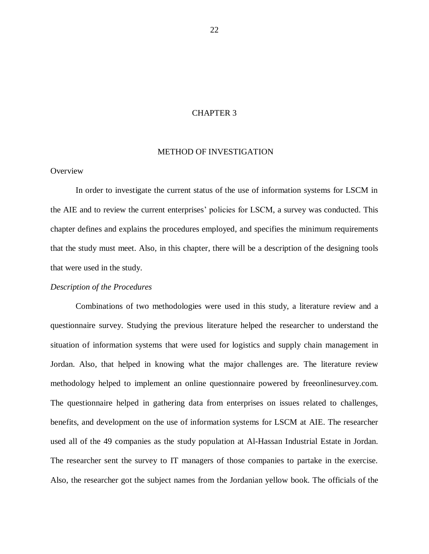## CHAPTER 3

#### <span id="page-32-0"></span>METHOD OF INVESTIGATION

## <span id="page-32-1"></span>**Overview**

In order to investigate the current status of the use of information systems for LSCM in the AIE and to review the current enterprises' policies for LSCM, a survey was conducted. This chapter defines and explains the procedures employed, and specifies the minimum requirements that the study must meet. Also, in this chapter, there will be a description of the designing tools that were used in the study.

#### <span id="page-32-2"></span>*Description of the Procedures*

Combinations of two methodologies were used in this study, a literature review and a questionnaire survey. Studying the previous literature helped the researcher to understand the situation of information systems that were used for logistics and supply chain management in Jordan. Also, that helped in knowing what the major challenges are. The literature review methodology helped to implement an online questionnaire powered by freeonlinesurvey.com. The questionnaire helped in gathering data from enterprises on issues related to challenges, benefits, and development on the use of information systems for LSCM at AIE. The researcher used all of the 49 companies as the study population at Al-Hassan Industrial Estate in Jordan. The researcher sent the survey to IT managers of those companies to partake in the exercise. Also, the researcher got the subject names from the Jordanian yellow book. The officials of the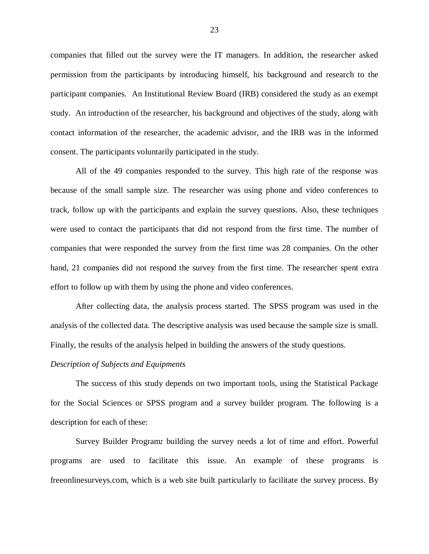companies that filled out the survey were the IT managers. In addition, the researcher asked permission from the participants by introducing himself, his background and research to the participant companies. An Institutional Review Board (IRB) considered the study as an exempt study. An introduction of the researcher, his background and objectives of the study, along with contact information of the researcher, the academic advisor, and the IRB was in the informed consent. The participants voluntarily participated in the study.

All of the 49 companies responded to the survey. This high rate of the response was because of the small sample size. The researcher was using phone and video conferences to track, follow up with the participants and explain the survey questions. Also, these techniques were used to contact the participants that did not respond from the first time. The number of companies that were responded the survey from the first time was 28 companies. On the other hand, 21 companies did not respond the survey from the first time. The researcher spent extra effort to follow up with them by using the phone and video conferences.

After collecting data, the analysis process started. The SPSS program was used in the analysis of the collected data. The descriptive analysis was used because the sample size is small. Finally, the results of the analysis helped in building the answers of the study questions.

#### <span id="page-33-0"></span>*Description of Subjects and Equipments*

The success of this study depends on two important tools, using the Statistical Package for the Social Sciences or SPSS program and a survey builder program. The following is a description for each of these:

Survey Builder Program*:* building the survey needs a lot of time and effort. Powerful programs are used to facilitate this issue. An example of these programs is freeonlinesurveys.com, which is a web site built particularly to facilitate the survey process. By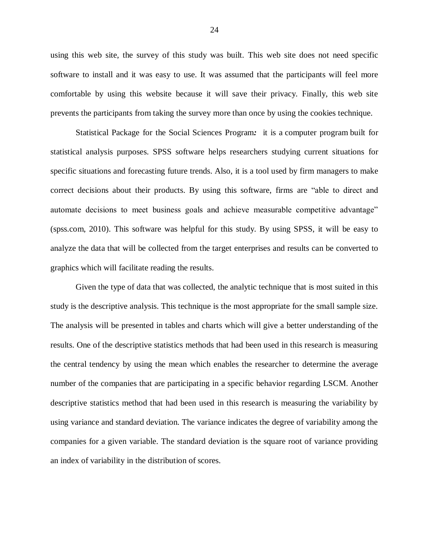using this web site, the survey of this study was built. This web site does not need specific software to install and it was easy to use. It was assumed that the participants will feel more comfortable by using this website because it will save their privacy. Finally, this web site prevents the participants from taking the survey more than once by using the cookies technique.

Statistical Package for the Social Sciences Program*:* it is a computer program built for statistical analysis purposes. SPSS software helps researchers studying current situations for specific situations and forecasting future trends. Also, it is a tool used by firm managers to make correct decisions about their products. By using this software, firms are "able to direct and automate decisions to meet business goals and achieve measurable competitive advantage" (spss.com, 2010). This software was helpful for this study. By using SPSS, it will be easy to analyze the data that will be collected from the target enterprises and results can be converted to graphics which will facilitate reading the results.

Given the type of data that was collected, the analytic technique that is most suited in this study is the descriptive analysis. This technique is the most appropriate for the small sample size. The analysis will be presented in tables and charts which will give a better understanding of the results. One of the descriptive statistics methods that had been used in this research is measuring the central tendency by using the mean which enables the researcher to determine the average number of the companies that are participating in a specific behavior regarding LSCM. Another descriptive statistics method that had been used in this research is measuring the variability by using variance and standard deviation. The variance indicates the degree of variability among the companies for a given variable. The standard deviation is the square root of variance providing an index of variability in the distribution of scores.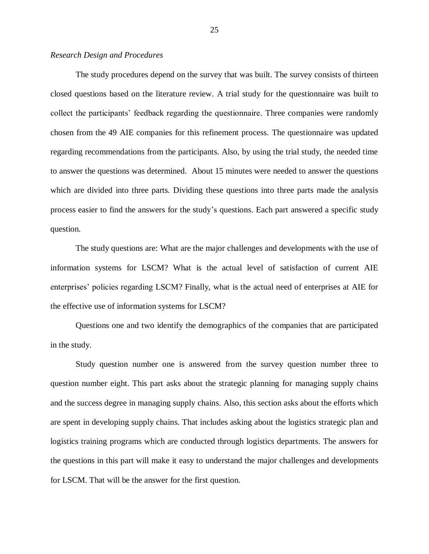## <span id="page-35-0"></span>*Research Design and Procedures*

The study procedures depend on the survey that was built. The survey consists of thirteen closed questions based on the literature review. A trial study for the questionnaire was built to collect the participants' feedback regarding the questionnaire. Three companies were randomly chosen from the 49 AIE companies for this refinement process. The questionnaire was updated regarding recommendations from the participants. Also, by using the trial study, the needed time to answer the questions was determined. About 15 minutes were needed to answer the questions which are divided into three parts. Dividing these questions into three parts made the analysis process easier to find the answers for the study's questions. Each part answered a specific study question.

The study questions are: What are the major challenges and developments with the use of information systems for LSCM? What is the actual level of satisfaction of current AIE enterprises' policies regarding LSCM? Finally, what is the actual need of enterprises at AIE for the effective use of information systems for LSCM?

Questions one and two identify the demographics of the companies that are participated in the study.

Study question number one is answered from the survey question number three to question number eight. This part asks about the strategic planning for managing supply chains and the success degree in managing supply chains. Also, this section asks about the efforts which are spent in developing supply chains. That includes asking about the logistics strategic plan and logistics training programs which are conducted through logistics departments. The answers for the questions in this part will make it easy to understand the major challenges and developments for LSCM. That will be the answer for the first question.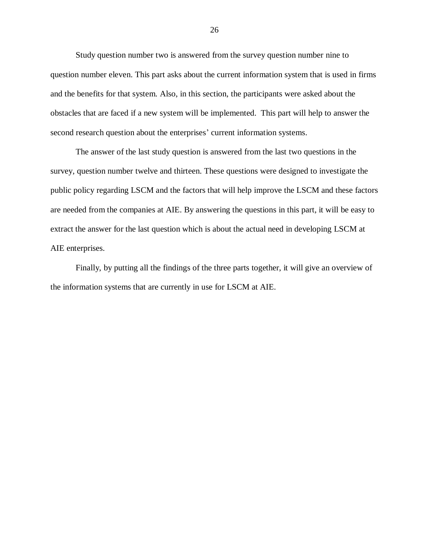Study question number two is answered from the survey question number nine to question number eleven. This part asks about the current information system that is used in firms and the benefits for that system. Also, in this section, the participants were asked about the obstacles that are faced if a new system will be implemented. This part will help to answer the second research question about the enterprises' current information systems.

The answer of the last study question is answered from the last two questions in the survey, question number twelve and thirteen. These questions were designed to investigate the public policy regarding LSCM and the factors that will help improve the LSCM and these factors are needed from the companies at AIE. By answering the questions in this part, it will be easy to extract the answer for the last question which is about the actual need in developing LSCM at AIE enterprises.

Finally, by putting all the findings of the three parts together, it will give an overview of the information systems that are currently in use for LSCM at AIE.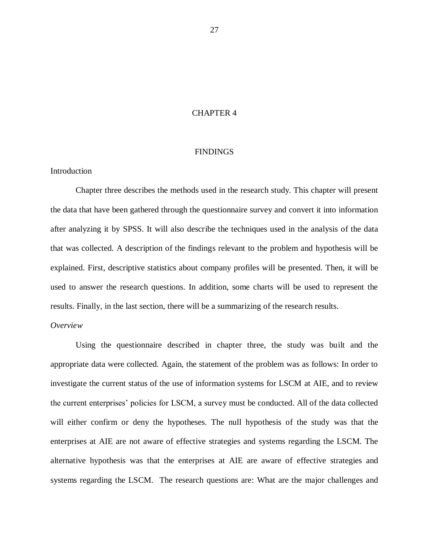## CHAPTER 4

#### FINDINGS

## <span id="page-37-1"></span><span id="page-37-0"></span>Introduction

Chapter three describes the methods used in the research study. This chapter will present the data that have been gathered through the questionnaire survey and convert it into information after analyzing it by SPSS. It will also describe the techniques used in the analysis of the data that was collected. A description of the findings relevant to the problem and hypothesis will be explained. First, descriptive statistics about company profiles will be presented. Then, it will be used to answer the research questions. In addition, some charts will be used to represent the results. Finally, in the last section, there will be a summarizing of the research results.

## <span id="page-37-2"></span>*Overview*

Using the questionnaire described in chapter three, the study was built and the appropriate data were collected. Again, the statement of the problem was as follows: In order to investigate the current status of the use of information systems for LSCM at AIE, and to review the current enterprises' policies for LSCM, a survey must be conducted. All of the data collected will either confirm or deny the hypotheses. The null hypothesis of the study was that the enterprises at AIE are not aware of effective strategies and systems regarding the LSCM. The alternative hypothesis was that the enterprises at AIE are aware of effective strategies and systems regarding the LSCM. The research questions are: What are the major challenges and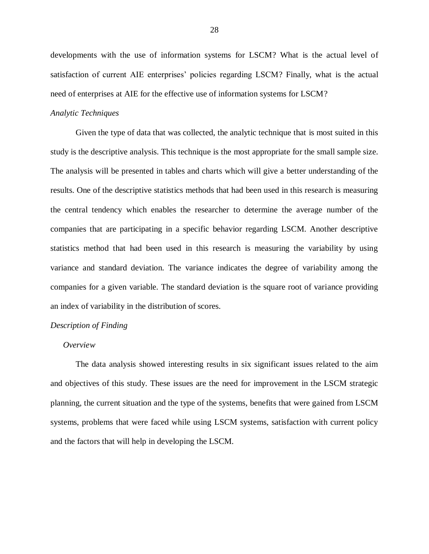developments with the use of information systems for LSCM? What is the actual level of satisfaction of current AIE enterprises' policies regarding LSCM? Finally, what is the actual need of enterprises at AIE for the effective use of information systems for LSCM?

#### <span id="page-38-0"></span>*Analytic Techniques*

Given the type of data that was collected, the analytic technique that is most suited in this study is the descriptive analysis. This technique is the most appropriate for the small sample size. The analysis will be presented in tables and charts which will give a better understanding of the results. One of the descriptive statistics methods that had been used in this research is measuring the central tendency which enables the researcher to determine the average number of the companies that are participating in a specific behavior regarding LSCM. Another descriptive statistics method that had been used in this research is measuring the variability by using variance and standard deviation. The variance indicates the degree of variability among the companies for a given variable. The standard deviation is the square root of variance providing an index of variability in the distribution of scores.

#### <span id="page-38-1"></span>*Description of Finding*

#### <span id="page-38-2"></span>*Overview*

The data analysis showed interesting results in six significant issues related to the aim and objectives of this study. These issues are the need for improvement in the LSCM strategic planning, the current situation and the type of the systems, benefits that were gained from LSCM systems, problems that were faced while using LSCM systems, satisfaction with current policy and the factors that will help in developing the LSCM.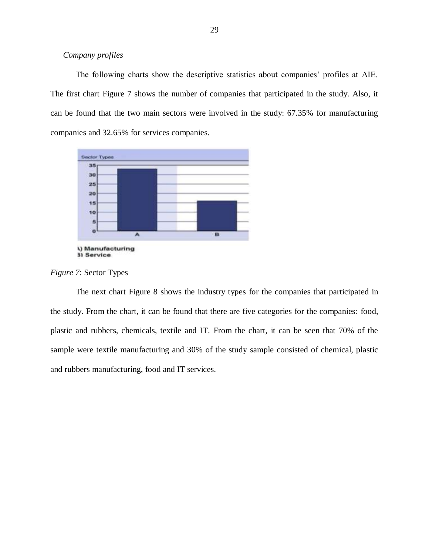## <span id="page-39-0"></span>*Company profiles*

The following charts show the descriptive statistics about companies' profiles at AIE. The first chart Figure 7 shows the number of companies that participated in the study. Also, it can be found that the two main sectors were involved in the study: 67.35% for manufacturing companies and 32.65% for services companies.



<span id="page-39-1"></span>*Figure 7*: Sector Types

The next chart Figure 8 shows the industry types for the companies that participated in the study. From the chart, it can be found that there are five categories for the companies: food, plastic and rubbers, chemicals, textile and IT. From the chart, it can be seen that 70% of the sample were textile manufacturing and 30% of the study sample consisted of chemical, plastic and rubbers manufacturing, food and IT services.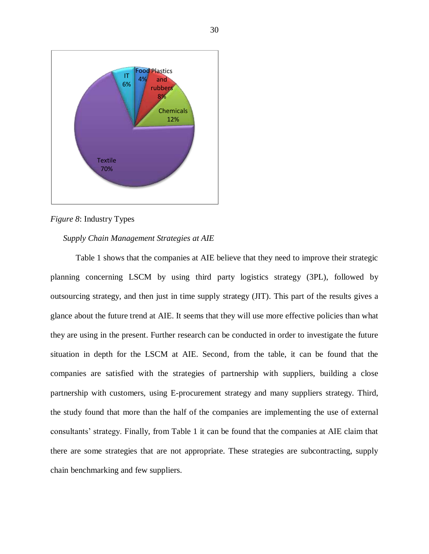

<span id="page-40-1"></span>*Figure 8*: Industry Types

## <span id="page-40-0"></span>*Supply Chain Management Strategies at AIE*

Table 1 shows that the companies at AIE believe that they need to improve their strategic planning concerning LSCM by using third party logistics strategy (3PL), followed by outsourcing strategy, and then just in time supply strategy (JIT). This part of the results gives a glance about the future trend at AIE. It seems that they will use more effective policies than what they are using in the present. Further research can be conducted in order to investigate the future situation in depth for the LSCM at AIE. Second, from the table, it can be found that the companies are satisfied with the strategies of partnership with suppliers, building a close partnership with customers, using E-procurement strategy and many suppliers strategy. Third, the study found that more than the half of the companies are implementing the use of external consultants' strategy. Finally, from Table 1 it can be found that the companies at AIE claim that there are some strategies that are not appropriate. These strategies are subcontracting, supply chain benchmarking and few suppliers.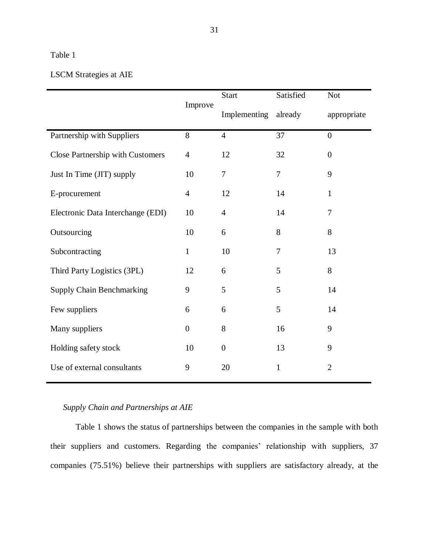# <span id="page-41-1"></span>Table 1

# LSCM Strategies at AIE

|                                         | Improve          | <b>Start</b>     | Satisfied      | <b>Not</b>     |
|-----------------------------------------|------------------|------------------|----------------|----------------|
|                                         |                  | Implementing     | already        | appropriate    |
| Partnership with Suppliers              | 8                | $\overline{4}$   | 37             | $\overline{0}$ |
| <b>Close Partnership with Customers</b> | $\overline{4}$   | 12               | 32             | $\overline{0}$ |
| Just In Time (JIT) supply               | 10               | $\tau$           | 7              | 9              |
| E-procurement                           | $\overline{4}$   | 12               | 14             | $\mathbf{1}$   |
| Electronic Data Interchange (EDI)       | 10               | $\overline{4}$   | 14             | $\tau$         |
| Outsourcing                             | 10               | 6                | 8              | 8              |
| Subcontracting                          | $\mathbf{1}$     | 10               | $\overline{7}$ | 13             |
| Third Party Logistics (3PL)             | 12               | 6                | 5              | 8              |
| <b>Supply Chain Benchmarking</b>        | 9                | 5                | 5              | 14             |
| Few suppliers                           | 6                | 6                | 5              | 14             |
| Many suppliers                          | $\boldsymbol{0}$ | 8                | 16             | 9              |
| Holding safety stock                    | 10               | $\boldsymbol{0}$ | 13             | 9              |
| Use of external consultants             | 9                | 20               | $\mathbf{1}$   | $\overline{2}$ |

## <span id="page-41-0"></span>*Supply Chain and Partnerships at AIE*

Table 1 shows the status of partnerships between the companies in the sample with both their suppliers and customers. Regarding the companies' relationship with suppliers, 37 companies (75.51%) believe their partnerships with suppliers are satisfactory already, at the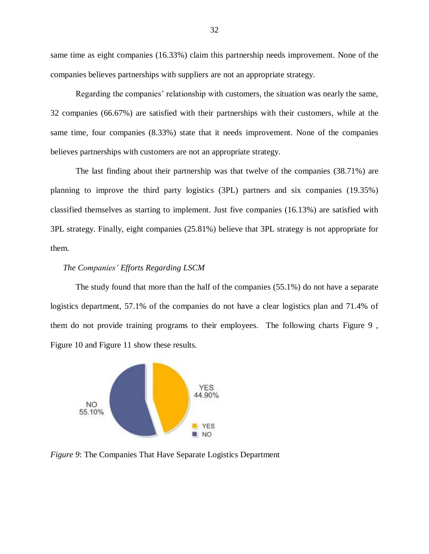same time as eight companies (16.33%) claim this partnership needs improvement. None of the companies believes partnerships with suppliers are not an appropriate strategy.

Regarding the companies' relationship with customers, the situation was nearly the same, 32 companies (66.67%) are satisfied with their partnerships with their customers, while at the same time, four companies (8.33%) state that it needs improvement. None of the companies believes partnerships with customers are not an appropriate strategy.

The last finding about their partnership was that twelve of the companies (38.71%) are planning to improve the third party logistics (3PL) partners and six companies (19.35%) classified themselves as starting to implement. Just five companies (16.13%) are satisfied with 3PL strategy. Finally, eight companies (25.81%) believe that 3PL strategy is not appropriate for them.

## <span id="page-42-0"></span>*The Companies' Efforts Regarding LSCM*

The study found that more than the half of the companies (55.1%) do not have a separate logistics department, 57.1% of the companies do not have a clear logistics plan and 71.4% of them do not provide training programs to their employees. The following charts Figure 9 , Figure 10 and Figure 11 show these results.



<span id="page-42-1"></span>*Figure 9*: The Companies That Have Separate Logistics Department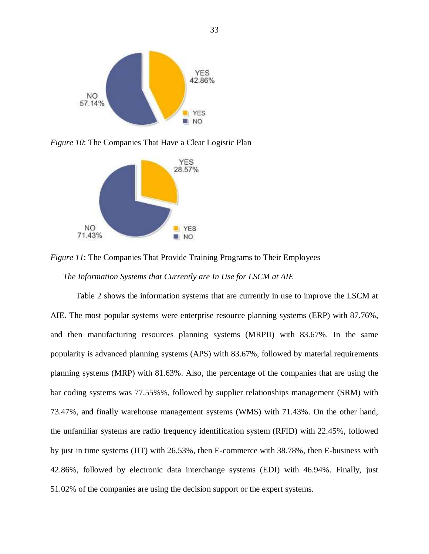

<span id="page-43-1"></span>*Figure 10*: The Companies That Have a Clear Logistic Plan



<span id="page-43-2"></span>*Figure 11*: The Companies That Provide Training Programs to Their Employees

<span id="page-43-0"></span>*The Information Systems that Currently are In Use for LSCM at AIE*

Table 2 shows the information systems that are currently in use to improve the LSCM at AIE. The most popular systems were enterprise resource planning systems (ERP) with 87.76%, and then manufacturing resources planning systems (MRPII) with 83.67%. In the same popularity is advanced planning systems (APS) with 83.67%, followed by material requirements planning systems (MRP) with 81.63%. Also, the percentage of the companies that are using the bar coding systems was 77.55%%, followed by supplier relationships management (SRM) with 73.47%, and finally warehouse management systems (WMS) with 71.43%. On the other hand, the unfamiliar systems are radio frequency identification system (RFID) with 22.45%, followed by just in time systems (JIT) with 26.53%, then E-commerce with 38.78%, then E-business with 42.86%, followed by electronic data interchange systems (EDI) with 46.94%. Finally, just 51.02% of the companies are using the decision support or the expert systems.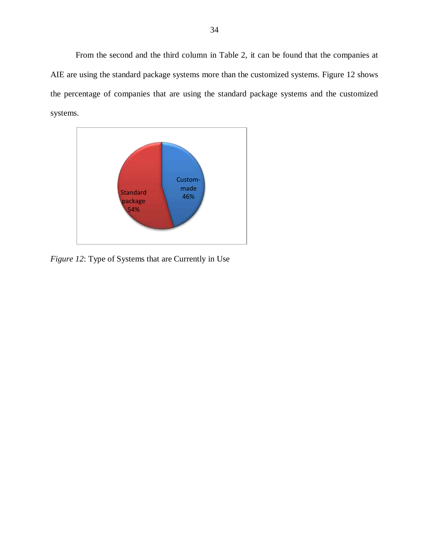From the second and the third column in Table 2, it can be found that the companies at AIE are using the standard package systems more than the customized systems. Figure 12 shows the percentage of companies that are using the standard package systems and the customized systems.



<span id="page-44-0"></span>*Figure 12*: Type of Systems that are Currently in Use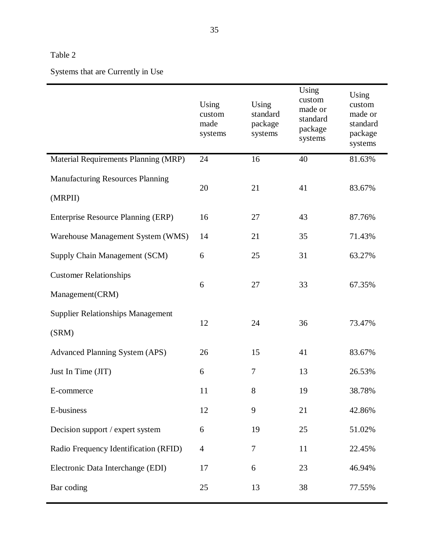# <span id="page-45-0"></span>Table 2

Systems that are Currently in Use

|                                                    | Using<br>custom<br>made<br>systems | Using<br>standard<br>package<br>systems | Using<br>custom<br>made or<br>standard<br>package<br>systems | Using<br>custom<br>made or<br>standard<br>package<br>systems |
|----------------------------------------------------|------------------------------------|-----------------------------------------|--------------------------------------------------------------|--------------------------------------------------------------|
| Material Requirements Planning (MRP)               | 24                                 | 16                                      | 40                                                           | 81.63%                                                       |
| <b>Manufacturing Resources Planning</b><br>(MRPII) | 20                                 | 21                                      | 41                                                           | 83.67%                                                       |
| Enterprise Resource Planning (ERP)                 | 16                                 | 27                                      | 43                                                           | 87.76%                                                       |
| Warehouse Management System (WMS)                  | 14                                 | 21                                      | 35                                                           | 71.43%                                                       |
| Supply Chain Management (SCM)                      | 6                                  | 25                                      | 31                                                           | 63.27%                                                       |
| <b>Customer Relationships</b><br>Management(CRM)   | 6                                  | 27                                      | 33                                                           | 67.35%                                                       |
| <b>Supplier Relationships Management</b><br>(SRM)  | 12                                 | 24                                      | 36                                                           | 73.47%                                                       |
| <b>Advanced Planning System (APS)</b>              | 26                                 | 15                                      | 41                                                           | 83.67%                                                       |
| Just In Time (JIT)                                 | 6                                  | 7                                       | 13                                                           | 26.53%                                                       |
| E-commerce                                         | 11                                 | 8                                       | 19                                                           | 38.78%                                                       |
| E-business                                         | 12                                 | 9                                       | 21                                                           | 42.86%                                                       |
| Decision support / expert system                   | 6                                  | 19                                      | 25                                                           | 51.02%                                                       |
| Radio Frequency Identification (RFID)              | $\overline{4}$                     | $\tau$                                  | 11                                                           | 22.45%                                                       |
| Electronic Data Interchange (EDI)                  | 17                                 | 6                                       | 23                                                           | 46.94%                                                       |
| Bar coding                                         | 25                                 | 13                                      | 38                                                           | 77.55%                                                       |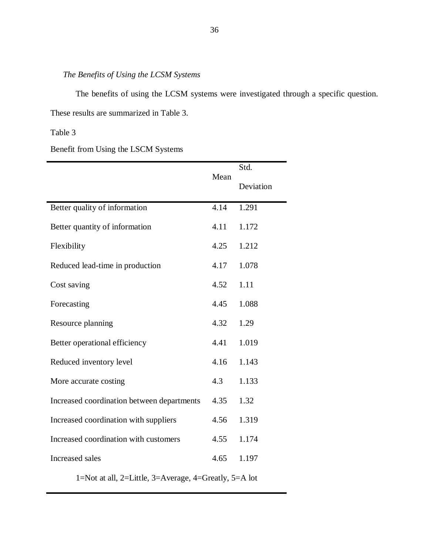# <span id="page-46-0"></span>*The Benefits of Using the LCSM Systems*

The benefits of using the LCSM systems were investigated through a specific question. These results are summarized in Table 3.

## <span id="page-46-1"></span>Table 3

Benefit from Using the LSCM Systems

|                                                       |      | Std.      |  |
|-------------------------------------------------------|------|-----------|--|
|                                                       | Mean | Deviation |  |
| Better quality of information                         | 4.14 | 1.291     |  |
| Better quantity of information                        | 4.11 | 1.172     |  |
| Flexibility                                           | 4.25 | 1.212     |  |
| Reduced lead-time in production                       | 4.17 | 1.078     |  |
| Cost saving                                           | 4.52 | 1.11      |  |
| Forecasting                                           | 4.45 | 1.088     |  |
| Resource planning                                     | 4.32 | 1.29      |  |
| Better operational efficiency                         | 4.41 | 1.019     |  |
| Reduced inventory level                               | 4.16 | 1.143     |  |
| More accurate costing                                 | 4.3  | 1.133     |  |
| Increased coordination between departments            | 4.35 | 1.32      |  |
| Increased coordination with suppliers                 | 4.56 | 1.319     |  |
| Increased coordination with customers                 | 4.55 | 1.174     |  |
| Increased sales                                       | 4.65 | 1.197     |  |
| 1=Not at all, 2=Little, 3=Average, 4=Greatly, 5=A lot |      |           |  |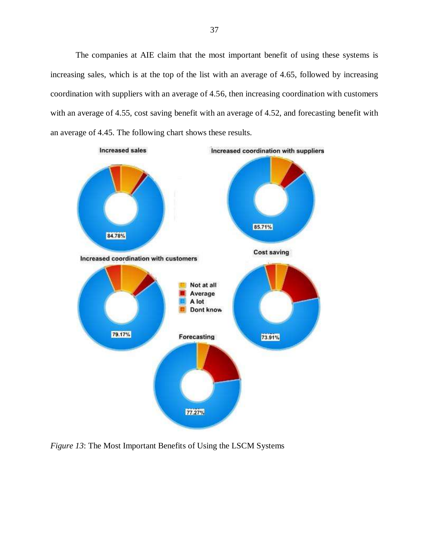The companies at AIE claim that the most important benefit of using these systems is increasing sales, which is at the top of the list with an average of 4.65, followed by increasing coordination with suppliers with an average of 4.56, then increasing coordination with customers with an average of 4.55, cost saving benefit with an average of 4.52, and forecasting benefit with an average of 4.45. The following chart shows these results.



<span id="page-47-0"></span>*Figure 13*: The Most Important Benefits of Using the LSCM Systems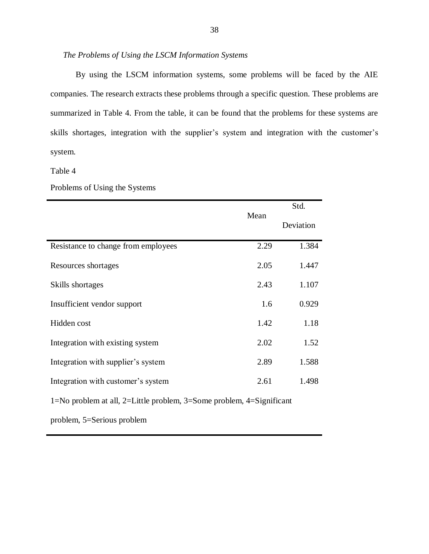## <span id="page-48-0"></span>*The Problems of Using the LSCM Information Systems*

By using the LSCM information systems, some problems will be faced by the AIE companies. The research extracts these problems through a specific question. These problems are summarized in Table 4. From the table, it can be found that the problems for these systems are skills shortages, integration with the supplier's system and integration with the customer's system.

<span id="page-48-1"></span>Table 4

#### Problems of Using the Systems

|                                     | Mean | Deviation |
|-------------------------------------|------|-----------|
| Resistance to change from employees | 2.29 | 1.384     |
| Resources shortages                 | 2.05 | 1.447     |
| Skills shortages                    | 2.43 | 1.107     |
| Insufficient vendor support         | 1.6  | 0.929     |
| Hidden cost                         | 1.42 | 1.18      |
| Integration with existing system    | 2.02 | 1.52      |
| Integration with supplier's system  | 2.89 | 1.588     |
| Integration with customer's system  | 2.61 | 1.498     |

1=No problem at all, 2=Little problem, 3=Some problem, 4=Significant

problem, 5=Serious problem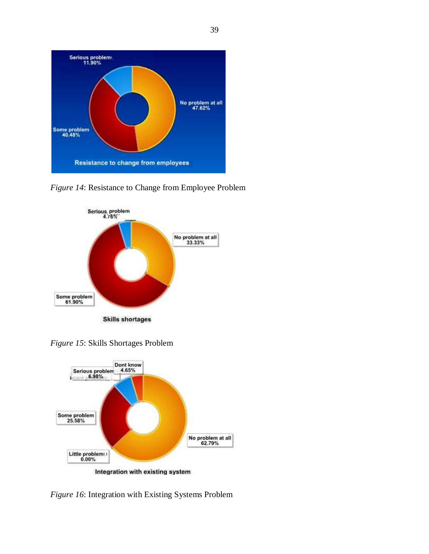

<span id="page-49-0"></span>*Figure 14*: Resistance to Change from Employee Problem



<span id="page-49-1"></span>*Figure 15*: Skills Shortages Problem



<span id="page-49-2"></span>*Figure 16*: Integration with Existing Systems Problem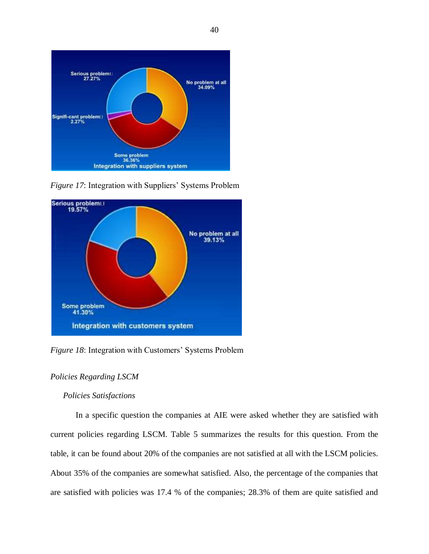

<span id="page-50-2"></span>*Figure 17*: Integration with Suppliers' Systems Problem



<span id="page-50-3"></span>*Figure 18*: Integration with Customers' Systems Problem

# <span id="page-50-0"></span>*Policies Regarding LSCM*

## <span id="page-50-1"></span>*Policies Satisfactions*

In a specific question the companies at AIE were asked whether they are satisfied with current policies regarding LSCM. Table 5 summarizes the results for this question. From the table, it can be found about 20% of the companies are not satisfied at all with the LSCM policies. About 35% of the companies are somewhat satisfied. Also, the percentage of the companies that are satisfied with policies was 17.4 % of the companies; 28.3% of them are quite satisfied and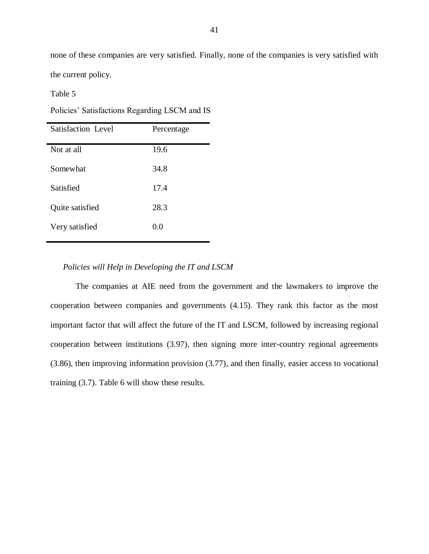none of these companies are very satisfied. Finally, none of the companies is very satisfied with the current policy.

<span id="page-51-1"></span>Table 5

Policies' Satisfactions Regarding LSCM and IS

| Satisfaction Level | Percentage |
|--------------------|------------|
| Not at all         | 19.6       |
| Somewhat           | 34.8       |
| Satisfied          | 17.4       |
| Quite satisfied    | 28.3       |
| Very satisfied     | 0.0        |

## <span id="page-51-0"></span>*Policies will Help in Developing the IT and LSCM*

<span id="page-51-2"></span>The companies at AIE need from the government and the lawmakers to improve the cooperation between companies and governments (4.15). They rank this factor as the most important factor that will affect the future of the IT and LSCM, followed by increasing regional cooperation between institutions (3.97), then signing more inter-country regional agreements (3.86), then improving information provision (3.77), and then finally, easier access to vocational training (3.7). Table 6 will show these results.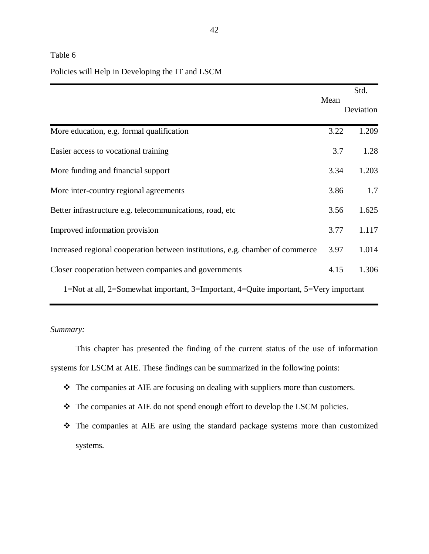## Table 6

## Policies will Help in Developing the IT and LSCM

|                                                                                      |      | Std.      |
|--------------------------------------------------------------------------------------|------|-----------|
|                                                                                      | Mean | Deviation |
| More education, e.g. formal qualification                                            | 3.22 | 1.209     |
| Easier access to vocational training                                                 | 3.7  | 1.28      |
| More funding and financial support                                                   | 3.34 | 1.203     |
| More inter-country regional agreements                                               | 3.86 | 1.7       |
| Better infrastructure e.g. telecommunications, road, etc.                            | 3.56 | 1.625     |
| Improved information provision                                                       | 3.77 | 1.117     |
| Increased regional cooperation between institutions, e.g. chamber of commerce        | 3.97 | 1.014     |
| Closer cooperation between companies and governments                                 | 4.15 | 1.306     |
| 1=Not at all, 2=Somewhat important, 3=Important, 4=Quite important, 5=Very important |      |           |

## <span id="page-52-0"></span>*Summary:*

This chapter has presented the finding of the current status of the use of information systems for LSCM at AIE. These findings can be summarized in the following points:

- The companies at AIE are focusing on dealing with suppliers more than customers.
- \* The companies at AIE do not spend enough effort to develop the LSCM policies.
- The companies at AIE are using the standard package systems more than customized systems.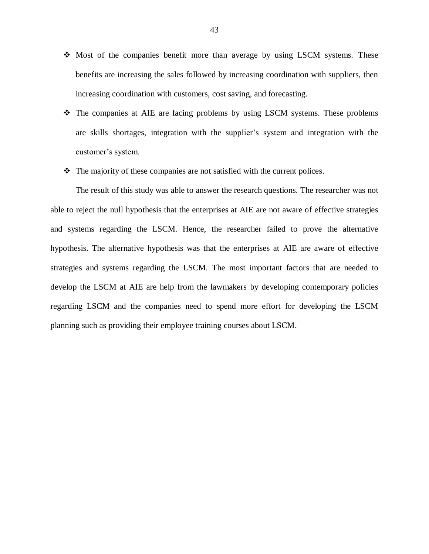- Most of the companies benefit more than average by using LSCM systems. These benefits are increasing the sales followed by increasing coordination with suppliers, then increasing coordination with customers, cost saving, and forecasting.
- $\div$  The companies at AIE are facing problems by using LSCM systems. These problems are skills shortages, integration with the supplier's system and integration with the customer's system.
- $\triangle$  The majority of these companies are not satisfied with the current polices.

The result of this study was able to answer the research questions. The researcher was not able to reject the null hypothesis that the enterprises at AIE are not aware of effective strategies and systems regarding the LSCM. Hence, the researcher failed to prove the alternative hypothesis. The alternative hypothesis was that the enterprises at AIE are aware of effective strategies and systems regarding the LSCM. The most important factors that are needed to develop the LSCM at AIE are help from the lawmakers by developing contemporary policies regarding LSCM and the companies need to spend more effort for developing the LSCM planning such as providing their employee training courses about LSCM.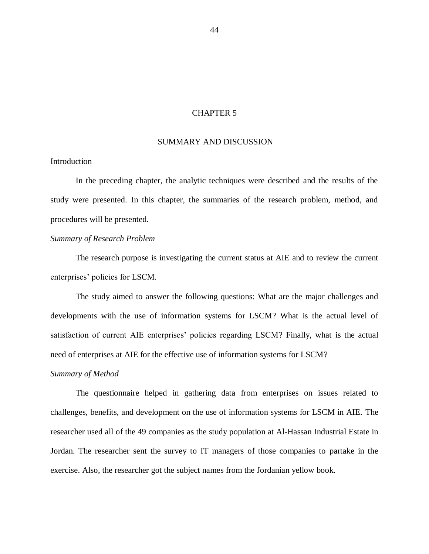### CHAPTER 5

#### <span id="page-54-0"></span>SUMMARY AND DISCUSSION

## <span id="page-54-1"></span>Introduction

In the preceding chapter, the analytic techniques were described and the results of the study were presented. In this chapter, the summaries of the research problem, method, and procedures will be presented.

## <span id="page-54-2"></span>*Summary of Research Problem*

The research purpose is investigating the current status at AIE and to review the current enterprises' policies for LSCM.

The study aimed to answer the following questions: What are the major challenges and developments with the use of information systems for LSCM? What is the actual level of satisfaction of current AIE enterprises' policies regarding LSCM? Finally, what is the actual need of enterprises at AIE for the effective use of information systems for LSCM?

## <span id="page-54-3"></span>*Summary of Method*

The questionnaire helped in gathering data from enterprises on issues related to challenges, benefits, and development on the use of information systems for LSCM in AIE. The researcher used all of the 49 companies as the study population at Al-Hassan Industrial Estate in Jordan. The researcher sent the survey to IT managers of those companies to partake in the exercise. Also, the researcher got the subject names from the Jordanian yellow book.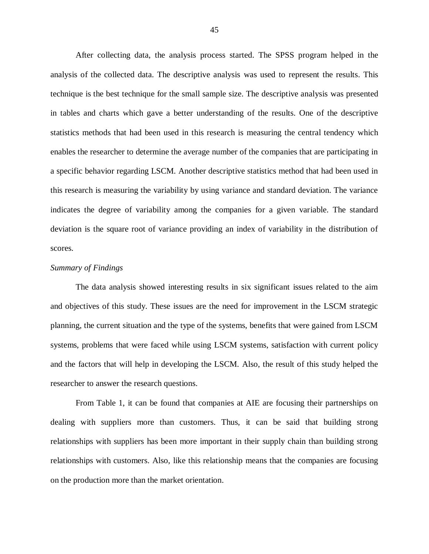After collecting data, the analysis process started. The SPSS program helped in the analysis of the collected data. The descriptive analysis was used to represent the results. This technique is the best technique for the small sample size. The descriptive analysis was presented in tables and charts which gave a better understanding of the results. One of the descriptive statistics methods that had been used in this research is measuring the central tendency which enables the researcher to determine the average number of the companies that are participating in a specific behavior regarding LSCM. Another descriptive statistics method that had been used in this research is measuring the variability by using variance and standard deviation. The variance indicates the degree of variability among the companies for a given variable. The standard deviation is the square root of variance providing an index of variability in the distribution of scores.

## <span id="page-55-0"></span>*Summary of Findings*

The data analysis showed interesting results in six significant issues related to the aim and objectives of this study. These issues are the need for improvement in the LSCM strategic planning, the current situation and the type of the systems, benefits that were gained from LSCM systems, problems that were faced while using LSCM systems, satisfaction with current policy and the factors that will help in developing the LSCM. Also, the result of this study helped the researcher to answer the research questions.

From Table 1, it can be found that companies at AIE are focusing their partnerships on dealing with suppliers more than customers. Thus, it can be said that building strong relationships with suppliers has been more important in their supply chain than building strong relationships with customers. Also, like this relationship means that the companies are focusing on the production more than the market orientation.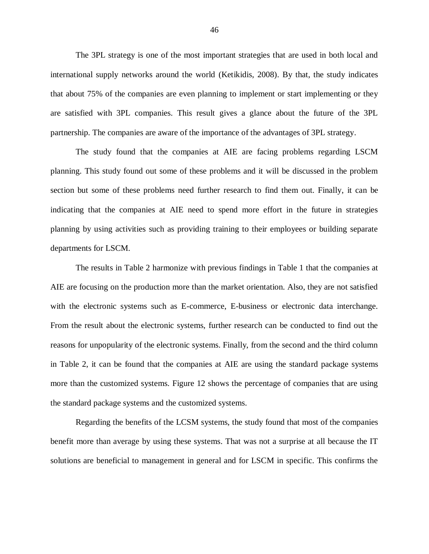The 3PL strategy is one of the most important strategies that are used in both local and international supply networks around the world (Ketikidis, 2008). By that, the study indicates that about 75% of the companies are even planning to implement or start implementing or they are satisfied with 3PL companies. This result gives a glance about the future of the 3PL partnership. The companies are aware of the importance of the advantages of 3PL strategy.

The study found that the companies at AIE are facing problems regarding LSCM planning. This study found out some of these problems and it will be discussed in the problem section but some of these problems need further research to find them out. Finally, it can be indicating that the companies at AIE need to spend more effort in the future in strategies planning by using activities such as providing training to their employees or building separate departments for LSCM.

The results in Table 2 harmonize with previous findings in Table 1 that the companies at AIE are focusing on the production more than the market orientation. Also, they are not satisfied with the electronic systems such as E-commerce, E-business or electronic data interchange. From the result about the electronic systems, further research can be conducted to find out the reasons for unpopularity of the electronic systems. Finally, from the second and the third column in Table 2, it can be found that the companies at AIE are using the standard package systems more than the customized systems. Figure 12 shows the percentage of companies that are using the standard package systems and the customized systems.

Regarding the benefits of the LCSM systems, the study found that most of the companies benefit more than average by using these systems. That was not a surprise at all because the IT solutions are beneficial to management in general and for LSCM in specific. This confirms the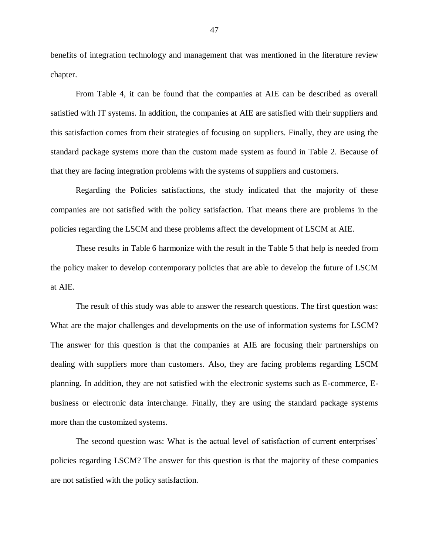benefits of integration technology and management that was mentioned in the literature review chapter.

From Table 4, it can be found that the companies at AIE can be described as overall satisfied with IT systems. In addition, the companies at AIE are satisfied with their suppliers and this satisfaction comes from their strategies of focusing on suppliers. Finally, they are using the standard package systems more than the custom made system as found in Table 2. Because of that they are facing integration problems with the systems of suppliers and customers.

Regarding the Policies satisfactions, the study indicated that the majority of these companies are not satisfied with the policy satisfaction. That means there are problems in the policies regarding the LSCM and these problems affect the development of LSCM at AIE.

These results in Table 6 harmonize with the result in the Table 5 that help is needed from the policy maker to develop contemporary policies that are able to develop the future of LSCM at AIE.

The result of this study was able to answer the research questions. The first question was: What are the major challenges and developments on the use of information systems for LSCM? The answer for this question is that the companies at AIE are focusing their partnerships on dealing with suppliers more than customers. Also, they are facing problems regarding LSCM planning. In addition, they are not satisfied with the electronic systems such as E-commerce, Ebusiness or electronic data interchange. Finally, they are using the standard package systems more than the customized systems.

The second question was: What is the actual level of satisfaction of current enterprises' policies regarding LSCM? The answer for this question is that the majority of these companies are not satisfied with the policy satisfaction.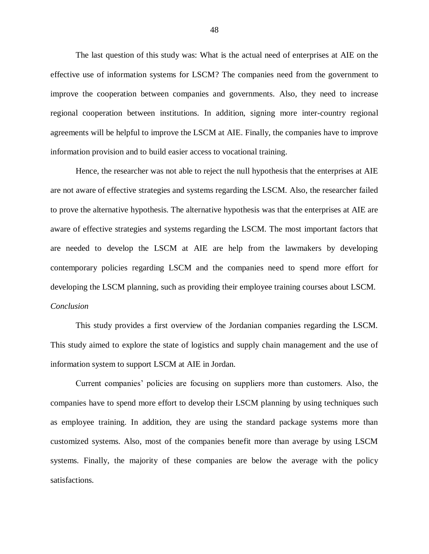The last question of this study was: What is the actual need of enterprises at AIE on the effective use of information systems for LSCM? The companies need from the government to improve the cooperation between companies and governments. Also, they need to increase regional cooperation between institutions. In addition, signing more inter-country regional agreements will be helpful to improve the LSCM at AIE. Finally, the companies have to improve information provision and to build easier access to vocational training.

Hence, the researcher was not able to reject the null hypothesis that the enterprises at AIE are not aware of effective strategies and systems regarding the LSCM. Also, the researcher failed to prove the alternative hypothesis. The alternative hypothesis was that the enterprises at AIE are aware of effective strategies and systems regarding the LSCM. The most important factors that are needed to develop the LSCM at AIE are help from the lawmakers by developing contemporary policies regarding LSCM and the companies need to spend more effort for developing the LSCM planning, such as providing their employee training courses about LSCM. *Conclusion*

<span id="page-58-0"></span>This study provides a first overview of the Jordanian companies regarding the LSCM. This study aimed to explore the state of logistics and supply chain management and the use of information system to support LSCM at AIE in Jordan.

Current companies' policies are focusing on suppliers more than customers. Also, the companies have to spend more effort to develop their LSCM planning by using techniques such as employee training. In addition, they are using the standard package systems more than customized systems. Also, most of the companies benefit more than average by using LSCM systems. Finally, the majority of these companies are below the average with the policy satisfactions.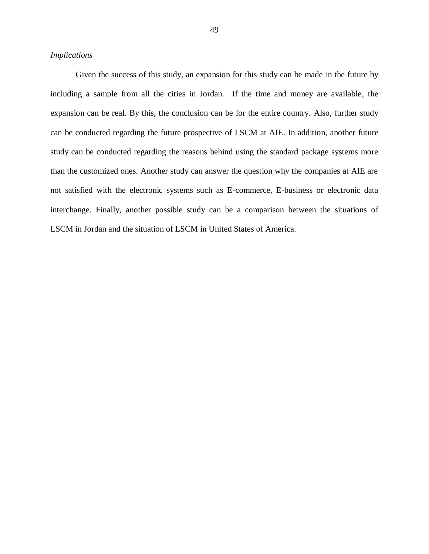#### <span id="page-59-0"></span>*Implications*

Given the success of this study, an expansion for this study can be made in the future by including a sample from all the cities in Jordan. If the time and money are available, the expansion can be real. By this, the conclusion can be for the entire country. Also, further study can be conducted regarding the future prospective of LSCM at AIE. In addition, another future study can be conducted regarding the reasons behind using the standard package systems more than the customized ones. Another study can answer the question why the companies at AIE are not satisfied with the electronic systems such as E-commerce, E-business or electronic data interchange. Finally, another possible study can be a comparison between the situations of LSCM in Jordan and the situation of LSCM in United States of America.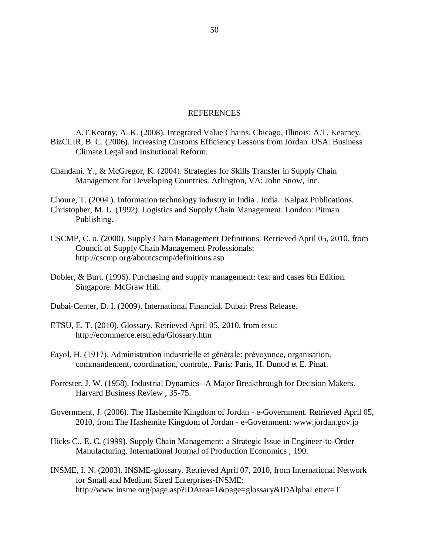#### REFERENCES

- <span id="page-60-0"></span>A.T.Kearny, A. K. (2008). Integrated Value Chains. Chicago, Illinois: A.T. Kearney. BizCLIR, B. C. (2006). Increasing Customs Efficiency Lessons from Jordan. USA: Business Climate Legal and Insitutional Reform.
- Chandani, Y., & McGregor, K. (2004). Strategies for Skills Transfer in Supply Chain Management for Developing Countries. Arlington, VA: John Snow, Inc.

Choure, T. (2004 ). Information technology industry in India . India : Kalpaz Publications. Christopher, M. L. (1992). Logistics and Supply Chain Management. London: Pitman Publishing.

- CSCMP, C. o. (2000). Supply Chain Management Definitions. Retrieved April 05, 2010, from Council of Supply Chain Management Professionals: http://cscmp.org/aboutcscmp/definitions.asp
- Dobler, & Burt. (1996). Purchasing and supply management: text and cases 6th Edition. Singapore: McGraw Hill.
- Dubai-Center, D. I. (2009). International Financial. Dubai: Press Release.
- ETSU, E. T. (2010). Glossary. Retrieved April 05, 2010, from etsu: http://ecommerce.etsu.edu/Glossary.htm
- Fayol, H. (1917). Administration industrielle et générale; prévoyance, organisation, commandement, coordination, controle,. Paris: Paris, H. Dunod et E. Pinat.
- Forrester, J. W. (1958). Industrial Dynamics--A Major Breakthrough for Decision Makers. Harvard Business Review , 35-75.
- Government, J. (2006). The Hashemite Kingdom of Jordan e-Government. Retrieved April 05, 2010, from The Hashemite Kingdom of Jordan - e-Government: www.jordan.gov.jo
- Hicks C., E. C. (1999). Supply Chain Management: a Strategic Issue in Engineer-to-Order Manufacturing. International Journal of Production Economics , 190.
- INSME, I. N. (2003). INSME-glossary. Retrieved April 07, 2010, from International Network for Small and Medium Sized Enterprises-INSME: http://www.insme.org/page.asp?IDArea=1&page=glossary&IDAlphaLetter=T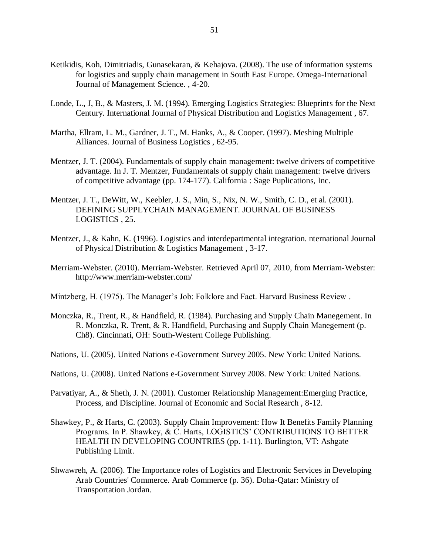- Ketikidis, Koh, Dimitriadis, Gunasekaran, & Kehajova. (2008). The use of information systems for logistics and supply chain management in South East Europe. Omega-International Journal of Management Science. , 4-20.
- Londe, L., J, B., & Masters, J. M. (1994). Emerging Logistics Strategies: Blueprints for the Next Century. International Journal of Physical Distribution and Logistics Management , 67.
- Martha, Ellram, L. M., Gardner, J. T., M. Hanks, A., & Cooper. (1997). Meshing Multiple Alliances. Journal of Business Logistics , 62-95.
- Mentzer, J. T. (2004). Fundamentals of supply chain management: twelve drivers of competitive advantage. In J. T. Mentzer, Fundamentals of supply chain management: twelve drivers of competitive advantage (pp. 174-177). California : Sage Puplications, Inc.
- Mentzer, J. T., DeWitt, W., Keebler, J. S., Min, S., Nix, N. W., Smith, C. D., et al. (2001). DEFINING SUPPLYCHAIN MANAGEMENT. JOURNAL OF BUSINESS LOGISTICS , 25.
- Mentzer, J., & Kahn, K. (1996). Logistics and interdepartmental integration. nternational Journal of Physical Distribution & Logistics Management , 3-17.
- Merriam-Webster. (2010). Merriam-Webster. Retrieved April 07, 2010, from Merriam-Webster: http://www.merriam-webster.com/
- Mintzberg, H. (1975). The Manager's Job: Folklore and Fact. Harvard Business Review.
- Monczka, R., Trent, R., & Handfield, R. (1984). Purchasing and Supply Chain Manegement. In R. Monczka, R. Trent, & R. Handfield, Purchasing and Supply Chain Manegement (p. Ch8). Cincinnati, OH: South-Western College Publishing.
- Nations, U. (2005). United Nations e-Government Survey 2005. New York: United Nations.
- Nations, U. (2008). United Nations e-Government Survey 2008. New York: United Nations.
- Parvatiyar, A., & Sheth, J. N. (2001). Customer Relationship Management:Emerging Practice, Process, and Discipline. Journal of Economic and Social Research , 8-12.
- Shawkey, P., & Harts, C. (2003). Supply Chain Improvement: How It Benefits Family Planning Programs. In P. Shawkey, & C. Harts, LOGISTICS' CONTRIBUTIONS TO BETTER HEALTH IN DEVELOPING COUNTRIES (pp. 1-11). Burlington, VT: Ashgate Publishing Limit.
- Shwawreh, A. (2006). The Importance roles of Logistics and Electronic Services in Developing Arab Countries' Commerce. Arab Commerce (p. 36). Doha-Qatar: Ministry of Transportation Jordan.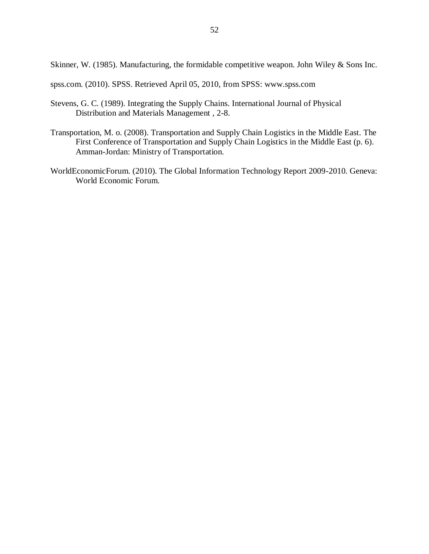Skinner, W. (1985). Manufacturing, the formidable competitive weapon. John Wiley & Sons Inc.

spss.com. (2010). SPSS. Retrieved April 05, 2010, from SPSS: www.spss.com

- Stevens, G. C. (1989). Integrating the Supply Chains. International Journal of Physical Distribution and Materials Management , 2-8.
- Transportation, M. o. (2008). Transportation and Supply Chain Logistics in the Middle East. The First Conference of Transportation and Supply Chain Logistics in the Middle East (p. 6). Amman-Jordan: Ministry of Transportation.
- WorldEconomicForum. (2010). The Global Information Technology Report 2009-2010. Geneva: World Economic Forum.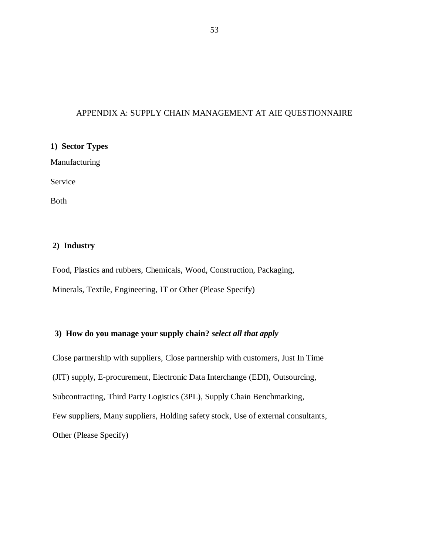## <span id="page-63-0"></span>APPENDIX A: SUPPLY CHAIN MANAGEMENT AT AIE QUESTIONNAIRE

# **1) Sector Types**

Manufacturing

Service

Both

## **2) Industry**

Food, Plastics and rubbers, Chemicals, Wood, Construction, Packaging, Minerals, Textile, Engineering, IT or Other (Please Specify)

## **3) How do you manage your supply chain?** *select all that apply*

Close partnership with suppliers, Close partnership with customers, Just In Time (JIT) supply, E-procurement, Electronic Data Interchange (EDI), Outsourcing, Subcontracting, Third Party Logistics (3PL), Supply Chain Benchmarking, Few suppliers, Many suppliers, Holding safety stock, Use of external consultants, Other (Please Specify)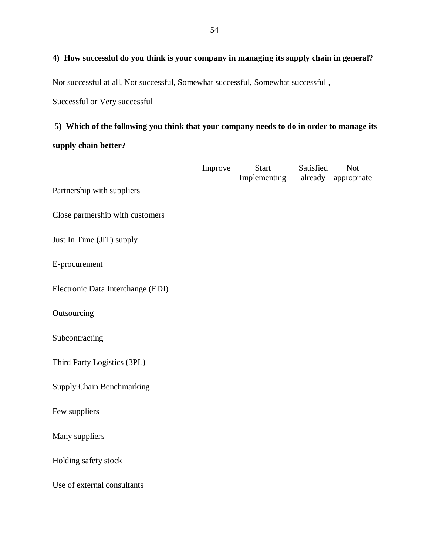# **4) How successful do you think is your company in managing its supply chain in general?**

Not successful at all, Not successful, Somewhat successful, Somewhat successful ,

Successful or Very successful

# **5) Which of the following you think that your company needs to do in order to manage its supply chain better?**

|                                   | Improve | Start<br>Implementing | Satisfied | <b>Not</b><br>already appropriate |
|-----------------------------------|---------|-----------------------|-----------|-----------------------------------|
| Partnership with suppliers        |         |                       |           |                                   |
| Close partnership with customers  |         |                       |           |                                   |
| Just In Time (JIT) supply         |         |                       |           |                                   |
| E-procurement                     |         |                       |           |                                   |
| Electronic Data Interchange (EDI) |         |                       |           |                                   |
| Outsourcing                       |         |                       |           |                                   |
| Subcontracting                    |         |                       |           |                                   |
| Third Party Logistics (3PL)       |         |                       |           |                                   |
| <b>Supply Chain Benchmarking</b>  |         |                       |           |                                   |
| Few suppliers                     |         |                       |           |                                   |
| Many suppliers                    |         |                       |           |                                   |
| Holding safety stock              |         |                       |           |                                   |
| Use of external consultants       |         |                       |           |                                   |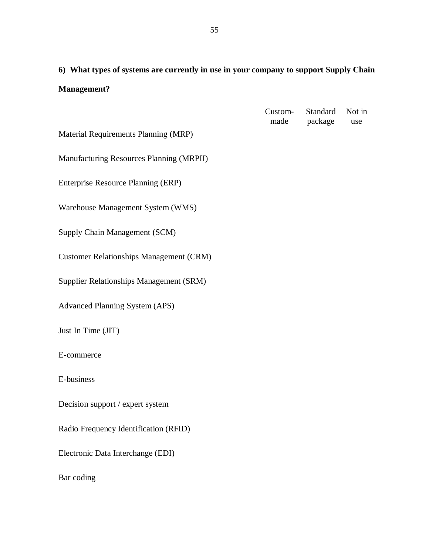**6) What types of systems are currently in use in your company to support Supply Chain Management?**

|                                                | Custom-<br>made | Standard<br>package | Not in<br>use |
|------------------------------------------------|-----------------|---------------------|---------------|
| Material Requirements Planning (MRP)           |                 |                     |               |
| Manufacturing Resources Planning (MRPII)       |                 |                     |               |
| Enterprise Resource Planning (ERP)             |                 |                     |               |
| Warehouse Management System (WMS)              |                 |                     |               |
| Supply Chain Management (SCM)                  |                 |                     |               |
| <b>Customer Relationships Management (CRM)</b> |                 |                     |               |
| Supplier Relationships Management (SRM)        |                 |                     |               |
| <b>Advanced Planning System (APS)</b>          |                 |                     |               |
| Just In Time (JIT)                             |                 |                     |               |
| E-commerce                                     |                 |                     |               |
| E-business                                     |                 |                     |               |
| Decision support / expert system               |                 |                     |               |
| Radio Frequency Identification (RFID)          |                 |                     |               |
| Electronic Data Interchange (EDI)              |                 |                     |               |
| Bar coding                                     |                 |                     |               |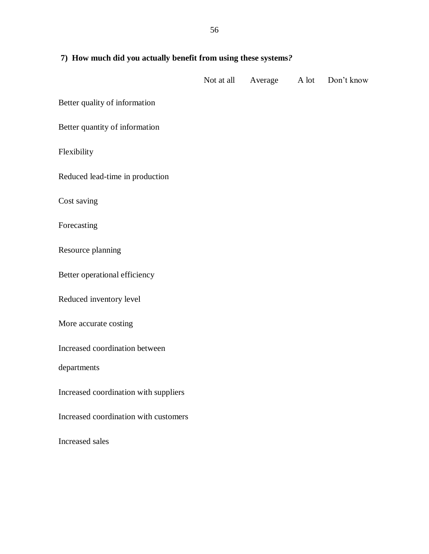| 7) How much did you actually benefit from using these systems? |  |                          |  |            |
|----------------------------------------------------------------|--|--------------------------|--|------------|
|                                                                |  | Not at all Average A lot |  | Don't know |
| Better quality of information                                  |  |                          |  |            |
| Better quantity of information                                 |  |                          |  |            |
| Flexibility                                                    |  |                          |  |            |
| Reduced lead-time in production                                |  |                          |  |            |
| Cost saving                                                    |  |                          |  |            |
| Forecasting                                                    |  |                          |  |            |
| Resource planning                                              |  |                          |  |            |
| Better operational efficiency                                  |  |                          |  |            |
| Reduced inventory level                                        |  |                          |  |            |
| More accurate costing                                          |  |                          |  |            |
| Increased coordination between                                 |  |                          |  |            |
| departments                                                    |  |                          |  |            |
| Increased coordination with suppliers                          |  |                          |  |            |
| Increased coordination with customers                          |  |                          |  |            |
| Increased sales                                                |  |                          |  |            |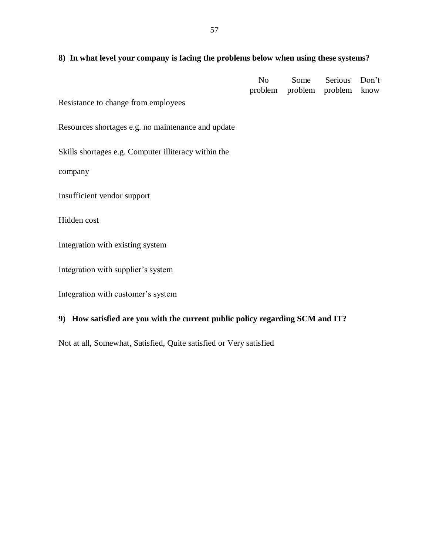## **8) In what level your company is facing the problems below when using these systems?**

|  | No Some Serious Don't        |  |
|--|------------------------------|--|
|  | problem problem problem know |  |

Resistance to change from employees

Resources shortages e.g. no maintenance and update

Skills shortages e.g. Computer illiteracy within the

company

Insufficient vendor support

Hidden cost

Integration with existing system

Integration with supplier's system

Integration with customer's system

## **9) How satisfied are you with the current public policy regarding SCM and IT?**

Not at all, Somewhat, Satisfied, Quite satisfied or Very satisfied